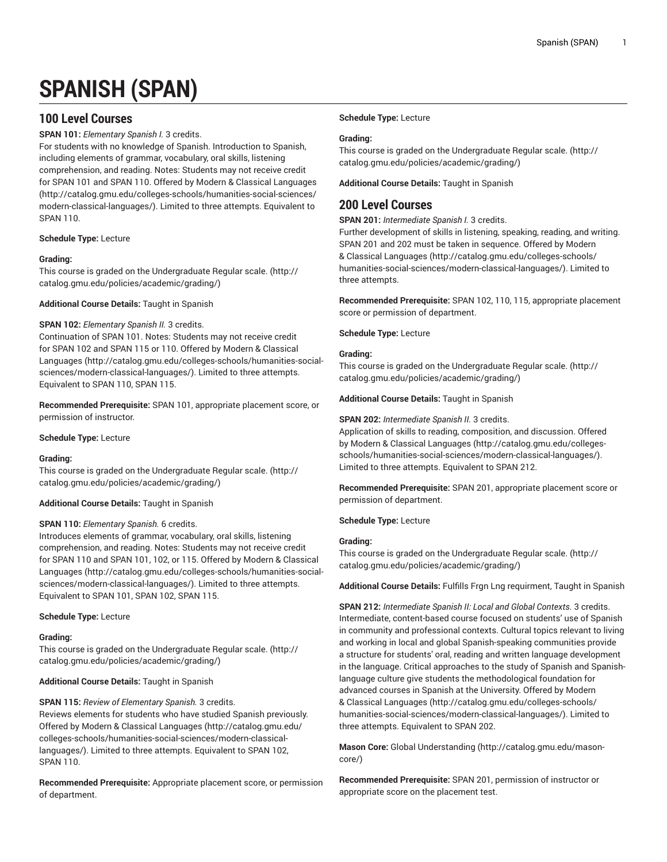# **SPANISH (SPAN)**

# **100 Level Courses**

**SPAN 101:** *Elementary Spanish I.* 3 credits.

For students with no knowledge of Spanish. Introduction to Spanish, including elements of grammar, vocabulary, oral skills, listening comprehension, and reading. Notes: Students may not receive credit for SPAN 101 and SPAN 110. Offered by [Modern & Classical Languages](http://catalog.gmu.edu/colleges-schools/humanities-social-sciences/modern-classical-languages/) ([http://catalog.gmu.edu/colleges-schools/humanities-social-sciences/](http://catalog.gmu.edu/colleges-schools/humanities-social-sciences/modern-classical-languages/) [modern-classical-languages/](http://catalog.gmu.edu/colleges-schools/humanities-social-sciences/modern-classical-languages/)). Limited to three attempts. Equivalent to SPAN 110.

# **Schedule Type:** Lecture

# **Grading:**

This course is graded on the [Undergraduate](http://catalog.gmu.edu/policies/academic/grading/) Regular scale. ([http://](http://catalog.gmu.edu/policies/academic/grading/) [catalog.gmu.edu/policies/academic/grading/\)](http://catalog.gmu.edu/policies/academic/grading/)

**Additional Course Details:** Taught in Spanish

# **SPAN 102:** *Elementary Spanish II.* 3 credits.

Continuation of SPAN 101. Notes: Students may not receive credit for SPAN 102 and SPAN 115 or 110. Offered by [Modern & Classical](http://catalog.gmu.edu/colleges-schools/humanities-social-sciences/modern-classical-languages/) [Languages \(http://catalog.gmu.edu/colleges-schools/humanities-social](http://catalog.gmu.edu/colleges-schools/humanities-social-sciences/modern-classical-languages/)[sciences/modern-classical-languages/](http://catalog.gmu.edu/colleges-schools/humanities-social-sciences/modern-classical-languages/)). Limited to three attempts. Equivalent to SPAN 110, SPAN 115.

**Recommended Prerequisite:** SPAN 101, appropriate placement score, or permission of instructor.

# **Schedule Type:** Lecture

# **Grading:**

This course is graded on the [Undergraduate](http://catalog.gmu.edu/policies/academic/grading/) Regular scale. ([http://](http://catalog.gmu.edu/policies/academic/grading/) [catalog.gmu.edu/policies/academic/grading/\)](http://catalog.gmu.edu/policies/academic/grading/)

# **Additional Course Details:** Taught in Spanish

# **SPAN 110:** *Elementary Spanish.* 6 credits.

Introduces elements of grammar, vocabulary, oral skills, listening comprehension, and reading. Notes: Students may not receive credit for SPAN 110 and SPAN 101, 102, or 115. Offered by [Modern & Classical](http://catalog.gmu.edu/colleges-schools/humanities-social-sciences/modern-classical-languages/) [Languages \(http://catalog.gmu.edu/colleges-schools/humanities-social](http://catalog.gmu.edu/colleges-schools/humanities-social-sciences/modern-classical-languages/)[sciences/modern-classical-languages/](http://catalog.gmu.edu/colleges-schools/humanities-social-sciences/modern-classical-languages/)). Limited to three attempts. Equivalent to SPAN 101, SPAN 102, SPAN 115.

# **Schedule Type:** Lecture

# **Grading:**

This course is graded on the [Undergraduate](http://catalog.gmu.edu/policies/academic/grading/) Regular scale. ([http://](http://catalog.gmu.edu/policies/academic/grading/) [catalog.gmu.edu/policies/academic/grading/\)](http://catalog.gmu.edu/policies/academic/grading/)

**Additional Course Details:** Taught in Spanish

**SPAN 115:** *Review of Elementary Spanish.* 3 credits.

Reviews elements for students who have studied Spanish previously. Offered by [Modern & Classical Languages \(http://catalog.gmu.edu/](http://catalog.gmu.edu/colleges-schools/humanities-social-sciences/modern-classical-languages/) [colleges-schools/humanities-social-sciences/modern-classical](http://catalog.gmu.edu/colleges-schools/humanities-social-sciences/modern-classical-languages/)[languages/\)](http://catalog.gmu.edu/colleges-schools/humanities-social-sciences/modern-classical-languages/). Limited to three attempts. Equivalent to SPAN 102, SPAN 110.

**Recommended Prerequisite:** Appropriate placement score, or permission of department.

# **Schedule Type:** Lecture

# **Grading:**

This course is graded on the [Undergraduate](http://catalog.gmu.edu/policies/academic/grading/) Regular scale. ([http://](http://catalog.gmu.edu/policies/academic/grading/) [catalog.gmu.edu/policies/academic/grading/](http://catalog.gmu.edu/policies/academic/grading/))

**Additional Course Details:** Taught in Spanish

# **200 Level Courses**

**SPAN 201:** *Intermediate Spanish I.* 3 credits.

Further development of skills in listening, speaking, reading, and writing. SPAN 201 and 202 must be taken in sequence. Offered by [Modern](http://catalog.gmu.edu/colleges-schools/humanities-social-sciences/modern-classical-languages/) [& Classical Languages](http://catalog.gmu.edu/colleges-schools/humanities-social-sciences/modern-classical-languages/) [\(http://catalog.gmu.edu/colleges-schools/](http://catalog.gmu.edu/colleges-schools/humanities-social-sciences/modern-classical-languages/) [humanities-social-sciences/modern-classical-languages/\)](http://catalog.gmu.edu/colleges-schools/humanities-social-sciences/modern-classical-languages/). Limited to three attempts.

**Recommended Prerequisite:** SPAN 102, 110, 115, appropriate placement score or permission of department.

**Schedule Type:** Lecture

# **Grading:**

This course is graded on the [Undergraduate](http://catalog.gmu.edu/policies/academic/grading/) Regular scale. ([http://](http://catalog.gmu.edu/policies/academic/grading/) [catalog.gmu.edu/policies/academic/grading/](http://catalog.gmu.edu/policies/academic/grading/))

**Additional Course Details:** Taught in Spanish

# **SPAN 202:** *Intermediate Spanish II.* 3 credits.

Application of skills to reading, composition, and discussion. Offered by [Modern & Classical Languages \(http://catalog.gmu.edu/colleges](http://catalog.gmu.edu/colleges-schools/humanities-social-sciences/modern-classical-languages/)[schools/humanities-social-sciences/modern-classical-languages/](http://catalog.gmu.edu/colleges-schools/humanities-social-sciences/modern-classical-languages/)). Limited to three attempts. Equivalent to SPAN 212.

**Recommended Prerequisite:** SPAN 201, appropriate placement score or permission of department.

**Schedule Type:** Lecture

# **Grading:**

This course is graded on the [Undergraduate](http://catalog.gmu.edu/policies/academic/grading/) Regular scale. ([http://](http://catalog.gmu.edu/policies/academic/grading/) [catalog.gmu.edu/policies/academic/grading/](http://catalog.gmu.edu/policies/academic/grading/))

**Additional Course Details:** Fulfills Frgn Lng requirment, Taught in Spanish

**SPAN 212:** *Intermediate Spanish II: Local and Global Contexts.* 3 credits. Intermediate, content-based course focused on students' use of Spanish in community and professional contexts. Cultural topics relevant to living and working in local and global Spanish-speaking communities provide a structure for students' oral, reading and written language development in the language. Critical approaches to the study of Spanish and Spanishlanguage culture give students the methodological foundation for advanced courses in Spanish at the University. Offered by [Modern](http://catalog.gmu.edu/colleges-schools/humanities-social-sciences/modern-classical-languages/) [& Classical Languages](http://catalog.gmu.edu/colleges-schools/humanities-social-sciences/modern-classical-languages/) [\(http://catalog.gmu.edu/colleges-schools/](http://catalog.gmu.edu/colleges-schools/humanities-social-sciences/modern-classical-languages/) [humanities-social-sciences/modern-classical-languages/\)](http://catalog.gmu.edu/colleges-schools/humanities-social-sciences/modern-classical-languages/). Limited to three attempts. Equivalent to SPAN 202.

**Mason Core:** [Global Understanding \(http://catalog.gmu.edu/mason](http://catalog.gmu.edu/mason-core/)[core/](http://catalog.gmu.edu/mason-core/))

**Recommended Prerequisite:** SPAN 201, permission of instructor or appropriate score on the placement test.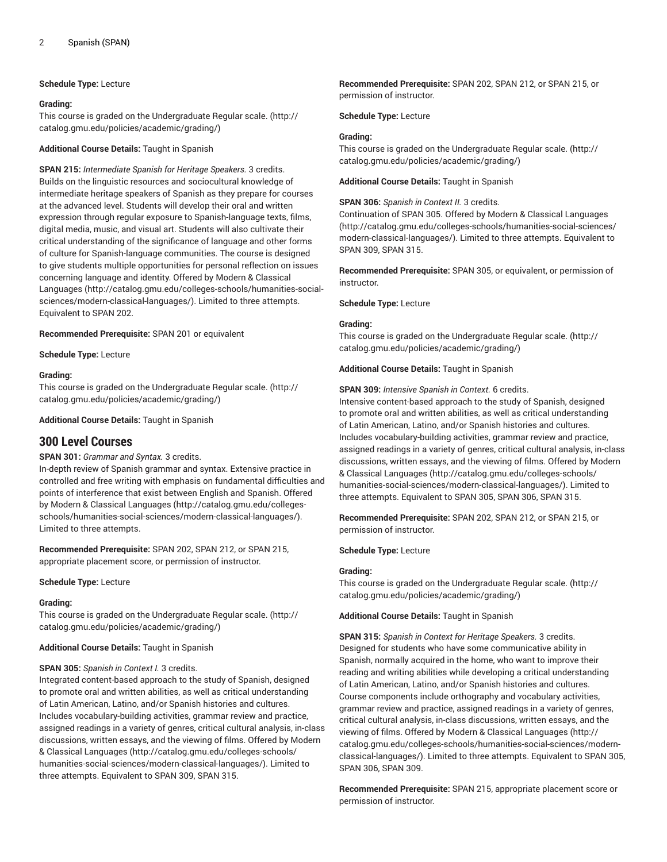#### **Schedule Type:** Lecture

#### **Grading:**

This course is graded on the [Undergraduate](http://catalog.gmu.edu/policies/academic/grading/) Regular scale. ([http://](http://catalog.gmu.edu/policies/academic/grading/) [catalog.gmu.edu/policies/academic/grading/\)](http://catalog.gmu.edu/policies/academic/grading/)

**Additional Course Details:** Taught in Spanish

**SPAN 215:** *Intermediate Spanish for Heritage Speakers.* 3 credits. Builds on the linguistic resources and sociocultural knowledge of intermediate heritage speakers of Spanish as they prepare for courses at the advanced level. Students will develop their oral and written expression through regular exposure to Spanish-language texts, films, digital media, music, and visual art. Students will also cultivate their critical understanding of the significance of language and other forms of culture for Spanish-language communities. The course is designed to give students multiple opportunities for personal reflection on issues concerning language and identity. Offered by [Modern & Classical](http://catalog.gmu.edu/colleges-schools/humanities-social-sciences/modern-classical-languages/) [Languages \(http://catalog.gmu.edu/colleges-schools/humanities-social](http://catalog.gmu.edu/colleges-schools/humanities-social-sciences/modern-classical-languages/)[sciences/modern-classical-languages/](http://catalog.gmu.edu/colleges-schools/humanities-social-sciences/modern-classical-languages/)). Limited to three attempts. Equivalent to SPAN 202.

**Recommended Prerequisite:** SPAN 201 or equivalent

**Schedule Type:** Lecture

#### **Grading:**

This course is graded on the [Undergraduate](http://catalog.gmu.edu/policies/academic/grading/) Regular scale. ([http://](http://catalog.gmu.edu/policies/academic/grading/) [catalog.gmu.edu/policies/academic/grading/\)](http://catalog.gmu.edu/policies/academic/grading/)

**Additional Course Details:** Taught in Spanish

# **300 Level Courses**

# **SPAN 301:** *Grammar and Syntax.* 3 credits.

In-depth review of Spanish grammar and syntax. Extensive practice in controlled and free writing with emphasis on fundamental difficulties and points of interference that exist between English and Spanish. Offered by [Modern & Classical Languages](http://catalog.gmu.edu/colleges-schools/humanities-social-sciences/modern-classical-languages/) ([http://catalog.gmu.edu/colleges](http://catalog.gmu.edu/colleges-schools/humanities-social-sciences/modern-classical-languages/)[schools/humanities-social-sciences/modern-classical-languages/\)](http://catalog.gmu.edu/colleges-schools/humanities-social-sciences/modern-classical-languages/). Limited to three attempts.

**Recommended Prerequisite:** SPAN 202, SPAN 212, or SPAN 215, appropriate placement score, or permission of instructor.

#### **Schedule Type:** Lecture

# **Grading:**

This course is graded on the [Undergraduate](http://catalog.gmu.edu/policies/academic/grading/) Regular scale. ([http://](http://catalog.gmu.edu/policies/academic/grading/) [catalog.gmu.edu/policies/academic/grading/\)](http://catalog.gmu.edu/policies/academic/grading/)

#### **Additional Course Details:** Taught in Spanish

# **SPAN 305:** *Spanish in Context I.* 3 credits.

Integrated content-based approach to the study of Spanish, designed to promote oral and written abilities, as well as critical understanding of Latin American, Latino, and/or Spanish histories and cultures. Includes vocabulary-building activities, grammar review and practice, assigned readings in a variety of genres, critical cultural analysis, in-class discussions, written essays, and the viewing of films. Offered by [Modern](http://catalog.gmu.edu/colleges-schools/humanities-social-sciences/modern-classical-languages/) [& Classical Languages](http://catalog.gmu.edu/colleges-schools/humanities-social-sciences/modern-classical-languages/) ([http://catalog.gmu.edu/colleges-schools/](http://catalog.gmu.edu/colleges-schools/humanities-social-sciences/modern-classical-languages/) [humanities-social-sciences/modern-classical-languages/](http://catalog.gmu.edu/colleges-schools/humanities-social-sciences/modern-classical-languages/)). Limited to three attempts. Equivalent to SPAN 309, SPAN 315.

**Recommended Prerequisite:** SPAN 202, SPAN 212, or SPAN 215, or permission of instructor.

**Schedule Type:** Lecture

#### **Grading:**

This course is graded on the [Undergraduate](http://catalog.gmu.edu/policies/academic/grading/) Regular scale. ([http://](http://catalog.gmu.edu/policies/academic/grading/) [catalog.gmu.edu/policies/academic/grading/](http://catalog.gmu.edu/policies/academic/grading/))

**Additional Course Details:** Taught in Spanish

#### **SPAN 306:** *Spanish in Context II.* 3 credits.

Continuation of SPAN 305. Offered by [Modern & Classical Languages](http://catalog.gmu.edu/colleges-schools/humanities-social-sciences/modern-classical-languages/) [\(http://catalog.gmu.edu/colleges-schools/humanities-social-sciences/](http://catalog.gmu.edu/colleges-schools/humanities-social-sciences/modern-classical-languages/) [modern-classical-languages/\)](http://catalog.gmu.edu/colleges-schools/humanities-social-sciences/modern-classical-languages/). Limited to three attempts. Equivalent to SPAN 309, SPAN 315.

**Recommended Prerequisite:** SPAN 305, or equivalent, or permission of instructor.

**Schedule Type:** Lecture

#### **Grading:**

This course is graded on the [Undergraduate](http://catalog.gmu.edu/policies/academic/grading/) Regular scale. ([http://](http://catalog.gmu.edu/policies/academic/grading/) [catalog.gmu.edu/policies/academic/grading/](http://catalog.gmu.edu/policies/academic/grading/))

**Additional Course Details:** Taught in Spanish

**SPAN 309:** *Intensive Spanish in Context.* 6 credits. Intensive content-based approach to the study of Spanish, designed to promote oral and written abilities, as well as critical understanding of Latin American, Latino, and/or Spanish histories and cultures. Includes vocabulary-building activities, grammar review and practice, assigned readings in a variety of genres, critical cultural analysis, in-class discussions, written essays, and the viewing of films. Offered by [Modern](http://catalog.gmu.edu/colleges-schools/humanities-social-sciences/modern-classical-languages/) [& Classical Languages](http://catalog.gmu.edu/colleges-schools/humanities-social-sciences/modern-classical-languages/) [\(http://catalog.gmu.edu/colleges-schools/](http://catalog.gmu.edu/colleges-schools/humanities-social-sciences/modern-classical-languages/) [humanities-social-sciences/modern-classical-languages/\)](http://catalog.gmu.edu/colleges-schools/humanities-social-sciences/modern-classical-languages/). Limited to three attempts. Equivalent to SPAN 305, SPAN 306, SPAN 315.

**Recommended Prerequisite:** SPAN 202, SPAN 212, or SPAN 215, or permission of instructor.

**Schedule Type:** Lecture

#### **Grading:**

This course is graded on the [Undergraduate](http://catalog.gmu.edu/policies/academic/grading/) Regular scale. ([http://](http://catalog.gmu.edu/policies/academic/grading/) [catalog.gmu.edu/policies/academic/grading/](http://catalog.gmu.edu/policies/academic/grading/))

**Additional Course Details:** Taught in Spanish

**SPAN 315:** *Spanish in Context for Heritage Speakers.* 3 credits. Designed for students who have some communicative ability in Spanish, normally acquired in the home, who want to improve their reading and writing abilities while developing a critical understanding of Latin American, Latino, and/or Spanish histories and cultures. Course components include orthography and vocabulary activities, grammar review and practice, assigned readings in a variety of genres, critical cultural analysis, in-class discussions, written essays, and the viewing of films. Offered by [Modern & Classical Languages \(http://](http://catalog.gmu.edu/colleges-schools/humanities-social-sciences/modern-classical-languages/) [catalog.gmu.edu/colleges-schools/humanities-social-sciences/modern](http://catalog.gmu.edu/colleges-schools/humanities-social-sciences/modern-classical-languages/)[classical-languages/\)](http://catalog.gmu.edu/colleges-schools/humanities-social-sciences/modern-classical-languages/). Limited to three attempts. Equivalent to SPAN 305, SPAN 306, SPAN 309.

**Recommended Prerequisite:** SPAN 215, appropriate placement score or permission of instructor.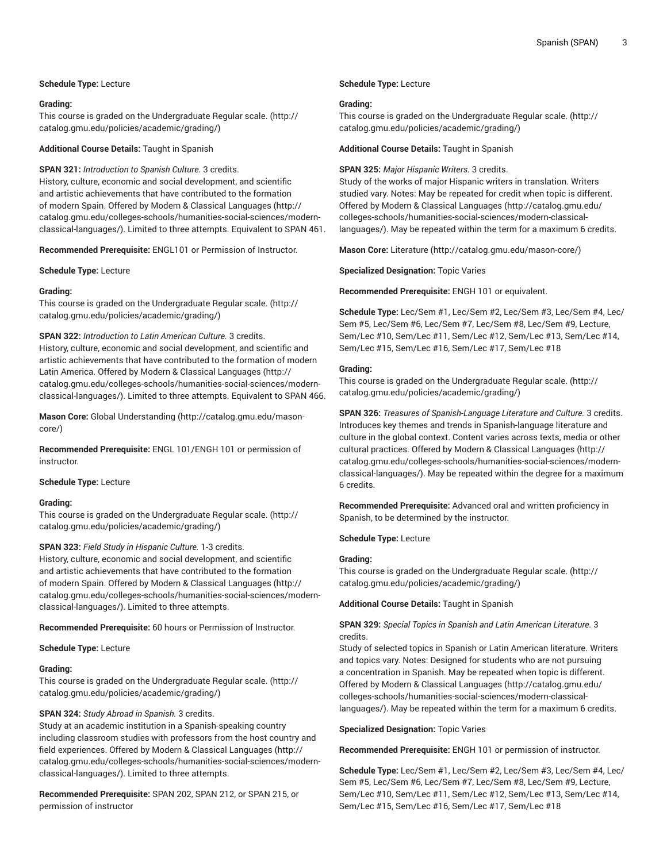# **Schedule Type:** Lecture

#### **Grading:**

This course is graded on the [Undergraduate](http://catalog.gmu.edu/policies/academic/grading/) Regular scale. ([http://](http://catalog.gmu.edu/policies/academic/grading/) [catalog.gmu.edu/policies/academic/grading/\)](http://catalog.gmu.edu/policies/academic/grading/)

**Additional Course Details:** Taught in Spanish

# **SPAN 321:** *Introduction to Spanish Culture.* 3 credits.

History, culture, economic and social development, and scientific and artistic achievements that have contributed to the formation of modern Spain. Offered by [Modern & Classical Languages](http://catalog.gmu.edu/colleges-schools/humanities-social-sciences/modern-classical-languages/) ([http://](http://catalog.gmu.edu/colleges-schools/humanities-social-sciences/modern-classical-languages/) [catalog.gmu.edu/colleges-schools/humanities-social-sciences/modern](http://catalog.gmu.edu/colleges-schools/humanities-social-sciences/modern-classical-languages/)[classical-languages/\)](http://catalog.gmu.edu/colleges-schools/humanities-social-sciences/modern-classical-languages/). Limited to three attempts. Equivalent to SPAN 461.

**Recommended Prerequisite:** ENGL101 or Permission of Instructor.

**Schedule Type:** Lecture

# **Grading:**

This course is graded on the [Undergraduate](http://catalog.gmu.edu/policies/academic/grading/) Regular scale. ([http://](http://catalog.gmu.edu/policies/academic/grading/) [catalog.gmu.edu/policies/academic/grading/\)](http://catalog.gmu.edu/policies/academic/grading/)

# **SPAN 322:** *Introduction to Latin American Culture.* 3 credits.

History, culture, economic and social development, and scientific and artistic achievements that have contributed to the formation of modern Latin America. Offered by [Modern & Classical Languages \(http://](http://catalog.gmu.edu/colleges-schools/humanities-social-sciences/modern-classical-languages/) [catalog.gmu.edu/colleges-schools/humanities-social-sciences/modern](http://catalog.gmu.edu/colleges-schools/humanities-social-sciences/modern-classical-languages/)[classical-languages/\)](http://catalog.gmu.edu/colleges-schools/humanities-social-sciences/modern-classical-languages/). Limited to three attempts. Equivalent to SPAN 466.

**Mason Core:** [Global Understanding](http://catalog.gmu.edu/mason-core/) ([http://catalog.gmu.edu/mason](http://catalog.gmu.edu/mason-core/)[core/\)](http://catalog.gmu.edu/mason-core/)

**Recommended Prerequisite:** ENGL 101/ENGH 101 or permission of instructor.

#### **Schedule Type:** Lecture

# **Grading:**

This course is graded on the [Undergraduate](http://catalog.gmu.edu/policies/academic/grading/) Regular scale. ([http://](http://catalog.gmu.edu/policies/academic/grading/) [catalog.gmu.edu/policies/academic/grading/\)](http://catalog.gmu.edu/policies/academic/grading/)

# **SPAN 323:** *Field Study in Hispanic Culture.* 1-3 credits.

History, culture, economic and social development, and scientific and artistic achievements that have contributed to the formation of modern Spain. Offered by [Modern & Classical Languages](http://catalog.gmu.edu/colleges-schools/humanities-social-sciences/modern-classical-languages/) ([http://](http://catalog.gmu.edu/colleges-schools/humanities-social-sciences/modern-classical-languages/) [catalog.gmu.edu/colleges-schools/humanities-social-sciences/modern](http://catalog.gmu.edu/colleges-schools/humanities-social-sciences/modern-classical-languages/)[classical-languages/\)](http://catalog.gmu.edu/colleges-schools/humanities-social-sciences/modern-classical-languages/). Limited to three attempts.

**Recommended Prerequisite:** 60 hours or Permission of Instructor.

# **Schedule Type:** Lecture

# **Grading:**

This course is graded on the [Undergraduate](http://catalog.gmu.edu/policies/academic/grading/) Regular scale. ([http://](http://catalog.gmu.edu/policies/academic/grading/) [catalog.gmu.edu/policies/academic/grading/\)](http://catalog.gmu.edu/policies/academic/grading/)

# **SPAN 324:** *Study Abroad in Spanish.* 3 credits.

Study at an academic institution in a Spanish-speaking country including classroom studies with professors from the host country and field experiences. Offered by [Modern & Classical Languages](http://catalog.gmu.edu/colleges-schools/humanities-social-sciences/modern-classical-languages/) ([http://](http://catalog.gmu.edu/colleges-schools/humanities-social-sciences/modern-classical-languages/) [catalog.gmu.edu/colleges-schools/humanities-social-sciences/modern](http://catalog.gmu.edu/colleges-schools/humanities-social-sciences/modern-classical-languages/)[classical-languages/\)](http://catalog.gmu.edu/colleges-schools/humanities-social-sciences/modern-classical-languages/). Limited to three attempts.

**Recommended Prerequisite:** SPAN 202, SPAN 212, or SPAN 215, or permission of instructor

#### **Schedule Type:** Lecture

#### **Grading:**

This course is graded on the [Undergraduate](http://catalog.gmu.edu/policies/academic/grading/) Regular scale. ([http://](http://catalog.gmu.edu/policies/academic/grading/) [catalog.gmu.edu/policies/academic/grading/](http://catalog.gmu.edu/policies/academic/grading/))

**Additional Course Details:** Taught in Spanish

#### **SPAN 325:** *Major Hispanic Writers.* 3 credits.

Study of the works of major Hispanic writers in translation. Writers studied vary. Notes: May be repeated for credit when topic is different. Offered by [Modern & Classical Languages](http://catalog.gmu.edu/colleges-schools/humanities-social-sciences/modern-classical-languages/) ([http://catalog.gmu.edu/](http://catalog.gmu.edu/colleges-schools/humanities-social-sciences/modern-classical-languages/) [colleges-schools/humanities-social-sciences/modern-classical](http://catalog.gmu.edu/colleges-schools/humanities-social-sciences/modern-classical-languages/)[languages/](http://catalog.gmu.edu/colleges-schools/humanities-social-sciences/modern-classical-languages/)). May be repeated within the term for a maximum 6 credits.

**Mason Core:** [Literature](http://catalog.gmu.edu/mason-core/) ([http://catalog.gmu.edu/mason-core/\)](http://catalog.gmu.edu/mason-core/)

**Specialized Designation:** Topic Varies

**Recommended Prerequisite:** ENGH 101 or equivalent.

**Schedule Type:** Lec/Sem #1, Lec/Sem #2, Lec/Sem #3, Lec/Sem #4, Lec/ Sem #5, Lec/Sem #6, Lec/Sem #7, Lec/Sem #8, Lec/Sem #9, Lecture, Sem/Lec #10, Sem/Lec #11, Sem/Lec #12, Sem/Lec #13, Sem/Lec #14, Sem/Lec #15, Sem/Lec #16, Sem/Lec #17, Sem/Lec #18

#### **Grading:**

This course is graded on the [Undergraduate](http://catalog.gmu.edu/policies/academic/grading/) Regular scale. ([http://](http://catalog.gmu.edu/policies/academic/grading/) [catalog.gmu.edu/policies/academic/grading/](http://catalog.gmu.edu/policies/academic/grading/))

**SPAN 326:** *Treasures of Spanish-Language Literature and Culture.* 3 credits. Introduces key themes and trends in Spanish-language literature and culture in the global context. Content varies across texts, media or other cultural practices. Offered by [Modern & Classical Languages \(http://](http://catalog.gmu.edu/colleges-schools/humanities-social-sciences/modern-classical-languages/) [catalog.gmu.edu/colleges-schools/humanities-social-sciences/modern](http://catalog.gmu.edu/colleges-schools/humanities-social-sciences/modern-classical-languages/)[classical-languages/\)](http://catalog.gmu.edu/colleges-schools/humanities-social-sciences/modern-classical-languages/). May be repeated within the degree for a maximum 6 credits.

**Recommended Prerequisite:** Advanced oral and written proficiency in Spanish, to be determined by the instructor.

**Schedule Type:** Lecture

# **Grading:**

This course is graded on the [Undergraduate](http://catalog.gmu.edu/policies/academic/grading/) Regular scale. ([http://](http://catalog.gmu.edu/policies/academic/grading/) [catalog.gmu.edu/policies/academic/grading/](http://catalog.gmu.edu/policies/academic/grading/))

**Additional Course Details:** Taught in Spanish

**SPAN 329:** *Special Topics in Spanish and Latin American Literature.* 3 credits.

Study of selected topics in Spanish or Latin American literature. Writers and topics vary. Notes: Designed for students who are not pursuing a concentration in Spanish. May be repeated when topic is different. Offered by [Modern & Classical Languages](http://catalog.gmu.edu/colleges-schools/humanities-social-sciences/modern-classical-languages/) ([http://catalog.gmu.edu/](http://catalog.gmu.edu/colleges-schools/humanities-social-sciences/modern-classical-languages/) [colleges-schools/humanities-social-sciences/modern-classical](http://catalog.gmu.edu/colleges-schools/humanities-social-sciences/modern-classical-languages/)[languages/](http://catalog.gmu.edu/colleges-schools/humanities-social-sciences/modern-classical-languages/)). May be repeated within the term for a maximum 6 credits.

**Specialized Designation:** Topic Varies

**Recommended Prerequisite:** ENGH 101 or permission of instructor.

**Schedule Type:** Lec/Sem #1, Lec/Sem #2, Lec/Sem #3, Lec/Sem #4, Lec/ Sem #5, Lec/Sem #6, Lec/Sem #7, Lec/Sem #8, Lec/Sem #9, Lecture, Sem/Lec #10, Sem/Lec #11, Sem/Lec #12, Sem/Lec #13, Sem/Lec #14, Sem/Lec #15, Sem/Lec #16, Sem/Lec #17, Sem/Lec #18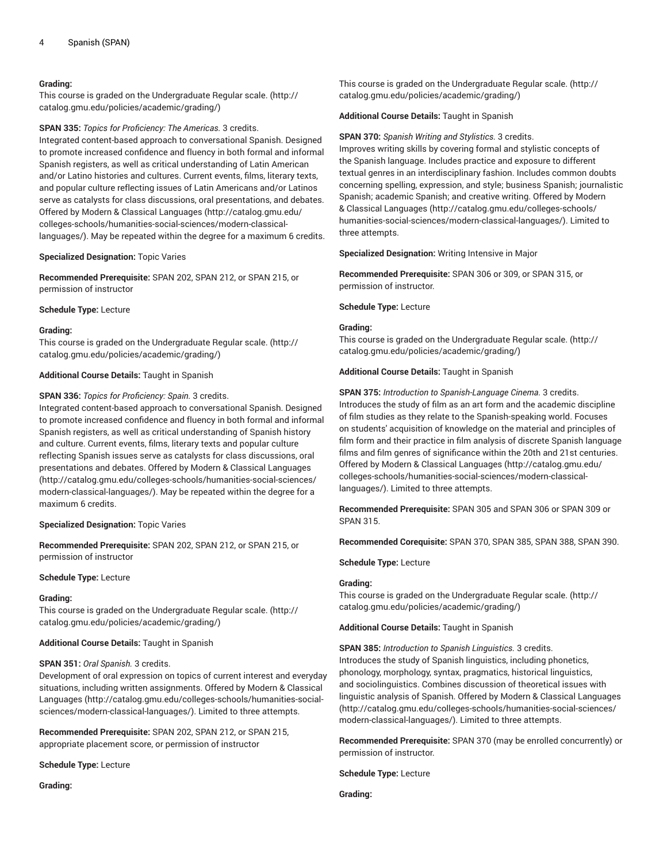#### **Grading:**

This course is graded on the [Undergraduate](http://catalog.gmu.edu/policies/academic/grading/) Regular scale. ([http://](http://catalog.gmu.edu/policies/academic/grading/) [catalog.gmu.edu/policies/academic/grading/\)](http://catalog.gmu.edu/policies/academic/grading/)

#### **SPAN 335:** *Topics for Proficiency: The Americas.* 3 credits.

Integrated content-based approach to conversational Spanish. Designed to promote increased confidence and fluency in both formal and informal Spanish registers, as well as critical understanding of Latin American and/or Latino histories and cultures. Current events, films, literary texts, and popular culture reflecting issues of Latin Americans and/or Latinos serve as catalysts for class discussions, oral presentations, and debates. Offered by [Modern & Classical Languages \(http://catalog.gmu.edu/](http://catalog.gmu.edu/colleges-schools/humanities-social-sciences/modern-classical-languages/) [colleges-schools/humanities-social-sciences/modern-classical](http://catalog.gmu.edu/colleges-schools/humanities-social-sciences/modern-classical-languages/)[languages/\)](http://catalog.gmu.edu/colleges-schools/humanities-social-sciences/modern-classical-languages/). May be repeated within the degree for a maximum 6 credits.

# **Specialized Designation:** Topic Varies

**Recommended Prerequisite:** SPAN 202, SPAN 212, or SPAN 215, or permission of instructor

#### **Schedule Type:** Lecture

#### **Grading:**

This course is graded on the [Undergraduate](http://catalog.gmu.edu/policies/academic/grading/) Regular scale. ([http://](http://catalog.gmu.edu/policies/academic/grading/) [catalog.gmu.edu/policies/academic/grading/\)](http://catalog.gmu.edu/policies/academic/grading/)

#### **Additional Course Details:** Taught in Spanish

#### **SPAN 336:** *Topics for Proficiency: Spain.* 3 credits.

Integrated content-based approach to conversational Spanish. Designed to promote increased confidence and fluency in both formal and informal Spanish registers, as well as critical understanding of Spanish history and culture. Current events, films, literary texts and popular culture reflecting Spanish issues serve as catalysts for class discussions, oral presentations and debates. Offered by [Modern & Classical Languages](http://catalog.gmu.edu/colleges-schools/humanities-social-sciences/modern-classical-languages/) ([http://catalog.gmu.edu/colleges-schools/humanities-social-sciences/](http://catalog.gmu.edu/colleges-schools/humanities-social-sciences/modern-classical-languages/) [modern-classical-languages/](http://catalog.gmu.edu/colleges-schools/humanities-social-sciences/modern-classical-languages/)). May be repeated within the degree for a maximum 6 credits.

#### **Specialized Designation:** Topic Varies

**Recommended Prerequisite:** SPAN 202, SPAN 212, or SPAN 215, or permission of instructor

#### **Schedule Type:** Lecture

#### **Grading:**

This course is graded on the [Undergraduate](http://catalog.gmu.edu/policies/academic/grading/) Regular scale. ([http://](http://catalog.gmu.edu/policies/academic/grading/) [catalog.gmu.edu/policies/academic/grading/\)](http://catalog.gmu.edu/policies/academic/grading/)

#### **Additional Course Details:** Taught in Spanish

#### **SPAN 351:** *Oral Spanish.* 3 credits.

Development of oral expression on topics of current interest and everyday situations, including written assignments. Offered by [Modern & Classical](http://catalog.gmu.edu/colleges-schools/humanities-social-sciences/modern-classical-languages/) [Languages \(http://catalog.gmu.edu/colleges-schools/humanities-social](http://catalog.gmu.edu/colleges-schools/humanities-social-sciences/modern-classical-languages/)[sciences/modern-classical-languages/](http://catalog.gmu.edu/colleges-schools/humanities-social-sciences/modern-classical-languages/)). Limited to three attempts.

**Recommended Prerequisite:** SPAN 202, SPAN 212, or SPAN 215, appropriate placement score, or permission of instructor

**Schedule Type:** Lecture

**Grading:**

This course is graded on the [Undergraduate](http://catalog.gmu.edu/policies/academic/grading/) Regular scale. ([http://](http://catalog.gmu.edu/policies/academic/grading/) [catalog.gmu.edu/policies/academic/grading/](http://catalog.gmu.edu/policies/academic/grading/))

#### **Additional Course Details:** Taught in Spanish

**SPAN 370:** *Spanish Writing and Stylistics.* 3 credits. Improves writing skills by covering formal and stylistic concepts of the Spanish language. Includes practice and exposure to different textual genres in an interdisciplinary fashion. Includes common doubts concerning spelling, expression, and style; business Spanish; journalistic Spanish; academic Spanish; and creative writing. Offered by [Modern](http://catalog.gmu.edu/colleges-schools/humanities-social-sciences/modern-classical-languages/) [& Classical Languages](http://catalog.gmu.edu/colleges-schools/humanities-social-sciences/modern-classical-languages/) [\(http://catalog.gmu.edu/colleges-schools/](http://catalog.gmu.edu/colleges-schools/humanities-social-sciences/modern-classical-languages/) [humanities-social-sciences/modern-classical-languages/\)](http://catalog.gmu.edu/colleges-schools/humanities-social-sciences/modern-classical-languages/). Limited to three attempts.

**Specialized Designation:** Writing Intensive in Major

**Recommended Prerequisite:** SPAN 306 or 309, or SPAN 315, or permission of instructor.

**Schedule Type:** Lecture

# **Grading:**

This course is graded on the [Undergraduate](http://catalog.gmu.edu/policies/academic/grading/) Regular scale. ([http://](http://catalog.gmu.edu/policies/academic/grading/) [catalog.gmu.edu/policies/academic/grading/](http://catalog.gmu.edu/policies/academic/grading/))

**Additional Course Details:** Taught in Spanish

**SPAN 375:** *Introduction to Spanish-Language Cinema.* 3 credits. Introduces the study of film as an art form and the academic discipline of film studies as they relate to the Spanish-speaking world. Focuses on students' acquisition of knowledge on the material and principles of film form and their practice in film analysis of discrete Spanish language films and film genres of significance within the 20th and 21st centuries. Offered by [Modern & Classical Languages](http://catalog.gmu.edu/colleges-schools/humanities-social-sciences/modern-classical-languages/) ([http://catalog.gmu.edu/](http://catalog.gmu.edu/colleges-schools/humanities-social-sciences/modern-classical-languages/) [colleges-schools/humanities-social-sciences/modern-classical](http://catalog.gmu.edu/colleges-schools/humanities-social-sciences/modern-classical-languages/)[languages/](http://catalog.gmu.edu/colleges-schools/humanities-social-sciences/modern-classical-languages/)). Limited to three attempts.

**Recommended Prerequisite:** SPAN 305 and SPAN 306 or SPAN 309 or SPAN 315.

**Recommended Corequisite:** SPAN 370, SPAN 385, SPAN 388, SPAN 390.

**Schedule Type:** Lecture

#### **Grading:**

This course is graded on the [Undergraduate](http://catalog.gmu.edu/policies/academic/grading/) Regular scale. ([http://](http://catalog.gmu.edu/policies/academic/grading/) [catalog.gmu.edu/policies/academic/grading/](http://catalog.gmu.edu/policies/academic/grading/))

#### **Additional Course Details:** Taught in Spanish

**SPAN 385:** *Introduction to Spanish Linguistics.* 3 credits. Introduces the study of Spanish linguistics, including phonetics, phonology, morphology, syntax, pragmatics, historical linguistics, and sociolinguistics. Combines discussion of theoretical issues with linguistic analysis of Spanish. Offered by [Modern & Classical Languages](http://catalog.gmu.edu/colleges-schools/humanities-social-sciences/modern-classical-languages/) [\(http://catalog.gmu.edu/colleges-schools/humanities-social-sciences/](http://catalog.gmu.edu/colleges-schools/humanities-social-sciences/modern-classical-languages/) [modern-classical-languages/\)](http://catalog.gmu.edu/colleges-schools/humanities-social-sciences/modern-classical-languages/). Limited to three attempts.

**Recommended Prerequisite:** SPAN 370 (may be enrolled concurrently) or permission of instructor.

**Schedule Type:** Lecture

**Grading:**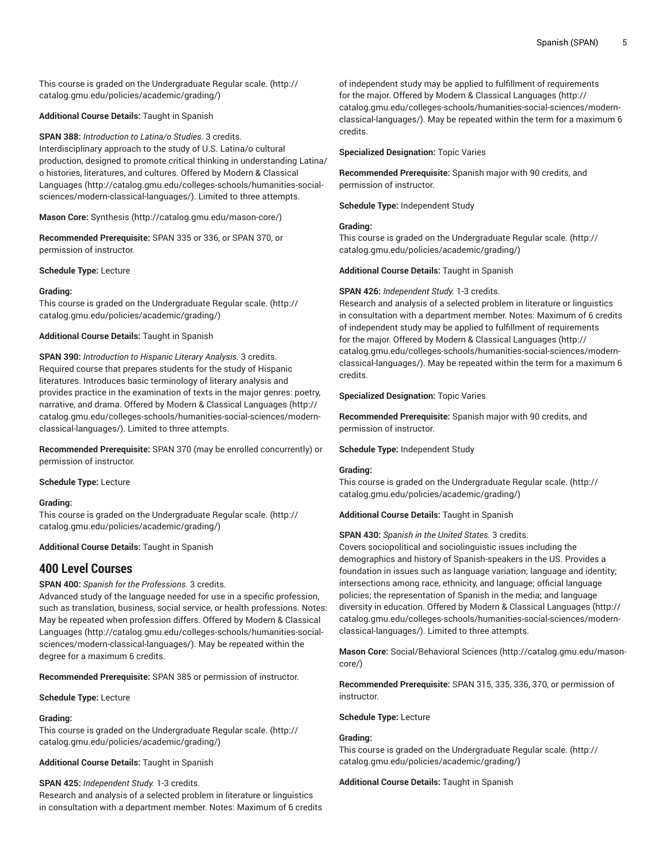This course is graded on the [Undergraduate](http://catalog.gmu.edu/policies/academic/grading/) Regular scale. ([http://](http://catalog.gmu.edu/policies/academic/grading/) [catalog.gmu.edu/policies/academic/grading/\)](http://catalog.gmu.edu/policies/academic/grading/)

**Additional Course Details:** Taught in Spanish

**SPAN 388:** *Introduction to Latina/o Studies.* 3 credits. Interdisciplinary approach to the study of U.S. Latina/o cultural production, designed to promote critical thinking in understanding Latina/ o histories, literatures, and cultures. Offered by [Modern & Classical](http://catalog.gmu.edu/colleges-schools/humanities-social-sciences/modern-classical-languages/) [Languages \(http://catalog.gmu.edu/colleges-schools/humanities-social](http://catalog.gmu.edu/colleges-schools/humanities-social-sciences/modern-classical-languages/)[sciences/modern-classical-languages/](http://catalog.gmu.edu/colleges-schools/humanities-social-sciences/modern-classical-languages/)). Limited to three attempts.

**Mason Core:** [Synthesis \(http://catalog.gmu.edu/mason-core/](http://catalog.gmu.edu/mason-core/))

**Recommended Prerequisite:** SPAN 335 or 336, or SPAN 370, or permission of instructor.

**Schedule Type:** Lecture

#### **Grading:**

This course is graded on the [Undergraduate](http://catalog.gmu.edu/policies/academic/grading/) Regular scale. ([http://](http://catalog.gmu.edu/policies/academic/grading/) [catalog.gmu.edu/policies/academic/grading/\)](http://catalog.gmu.edu/policies/academic/grading/)

**Additional Course Details:** Taught in Spanish

**SPAN 390:** *Introduction to Hispanic Literary Analysis.* 3 credits. Required course that prepares students for the study of Hispanic literatures. Introduces basic terminology of literary analysis and provides practice in the examination of texts in the major genres: poetry, narrative, and drama. Offered by [Modern & Classical Languages \(http://](http://catalog.gmu.edu/colleges-schools/humanities-social-sciences/modern-classical-languages/) [catalog.gmu.edu/colleges-schools/humanities-social-sciences/modern](http://catalog.gmu.edu/colleges-schools/humanities-social-sciences/modern-classical-languages/)[classical-languages/\)](http://catalog.gmu.edu/colleges-schools/humanities-social-sciences/modern-classical-languages/). Limited to three attempts.

**Recommended Prerequisite:** SPAN 370 (may be enrolled concurrently) or permission of instructor.

**Schedule Type:** Lecture

# **Grading:**

This course is graded on the [Undergraduate](http://catalog.gmu.edu/policies/academic/grading/) Regular scale. ([http://](http://catalog.gmu.edu/policies/academic/grading/) [catalog.gmu.edu/policies/academic/grading/\)](http://catalog.gmu.edu/policies/academic/grading/)

**Additional Course Details:** Taught in Spanish

# **400 Level Courses**

**SPAN 400:** *Spanish for the Professions.* 3 credits.

Advanced study of the language needed for use in a specific profession, such as translation, business, social service, or health professions. Notes: May be repeated when profession differs. Offered by [Modern & Classical](http://catalog.gmu.edu/colleges-schools/humanities-social-sciences/modern-classical-languages/) [Languages \(http://catalog.gmu.edu/colleges-schools/humanities-social](http://catalog.gmu.edu/colleges-schools/humanities-social-sciences/modern-classical-languages/)[sciences/modern-classical-languages/](http://catalog.gmu.edu/colleges-schools/humanities-social-sciences/modern-classical-languages/)). May be repeated within the degree for a maximum 6 credits.

**Recommended Prerequisite:** SPAN 385 or permission of instructor.

**Schedule Type:** Lecture

#### **Grading:**

This course is graded on the [Undergraduate](http://catalog.gmu.edu/policies/academic/grading/) Regular scale. ([http://](http://catalog.gmu.edu/policies/academic/grading/) [catalog.gmu.edu/policies/academic/grading/\)](http://catalog.gmu.edu/policies/academic/grading/)

**Additional Course Details:** Taught in Spanish

**SPAN 425:** *Independent Study.* 1-3 credits.

Research and analysis of a selected problem in literature or linguistics in consultation with a department member. Notes: Maximum of 6 credits

of independent study may be applied to fulfillment of requirements for the major. Offered by [Modern & Classical Languages \(http://](http://catalog.gmu.edu/colleges-schools/humanities-social-sciences/modern-classical-languages/) [catalog.gmu.edu/colleges-schools/humanities-social-sciences/modern](http://catalog.gmu.edu/colleges-schools/humanities-social-sciences/modern-classical-languages/)[classical-languages/\)](http://catalog.gmu.edu/colleges-schools/humanities-social-sciences/modern-classical-languages/). May be repeated within the term for a maximum 6 credits.

**Specialized Designation:** Topic Varies

**Recommended Prerequisite:** Spanish major with 90 credits, and permission of instructor.

**Schedule Type:** Independent Study

# **Grading:**

This course is graded on the [Undergraduate](http://catalog.gmu.edu/policies/academic/grading/) Regular scale. ([http://](http://catalog.gmu.edu/policies/academic/grading/) [catalog.gmu.edu/policies/academic/grading/](http://catalog.gmu.edu/policies/academic/grading/))

**Additional Course Details:** Taught in Spanish

#### **SPAN 426:** *Independent Study.* 1-3 credits.

Research and analysis of a selected problem in literature or linguistics in consultation with a department member. Notes: Maximum of 6 credits of independent study may be applied to fulfillment of requirements for the major. Offered by [Modern & Classical Languages \(http://](http://catalog.gmu.edu/colleges-schools/humanities-social-sciences/modern-classical-languages/) [catalog.gmu.edu/colleges-schools/humanities-social-sciences/modern](http://catalog.gmu.edu/colleges-schools/humanities-social-sciences/modern-classical-languages/)[classical-languages/\)](http://catalog.gmu.edu/colleges-schools/humanities-social-sciences/modern-classical-languages/). May be repeated within the term for a maximum 6 credits.

**Specialized Designation:** Topic Varies

**Recommended Prerequisite:** Spanish major with 90 credits, and permission of instructor.

**Schedule Type:** Independent Study

#### **Grading:**

This course is graded on the [Undergraduate](http://catalog.gmu.edu/policies/academic/grading/) Regular scale. ([http://](http://catalog.gmu.edu/policies/academic/grading/) [catalog.gmu.edu/policies/academic/grading/](http://catalog.gmu.edu/policies/academic/grading/))

**Additional Course Details:** Taught in Spanish

**SPAN 430:** *Spanish in the United States.* 3 credits.

Covers sociopolitical and sociolinguistic issues including the demographics and history of Spanish-speakers in the US. Provides a foundation in issues such as language variation; language and identity; intersections among race, ethnicity, and language; official language policies; the representation of Spanish in the media; and language diversity in education. Offered by [Modern & Classical Languages](http://catalog.gmu.edu/colleges-schools/humanities-social-sciences/modern-classical-languages/) ([http://](http://catalog.gmu.edu/colleges-schools/humanities-social-sciences/modern-classical-languages/) [catalog.gmu.edu/colleges-schools/humanities-social-sciences/modern](http://catalog.gmu.edu/colleges-schools/humanities-social-sciences/modern-classical-languages/)[classical-languages/\)](http://catalog.gmu.edu/colleges-schools/humanities-social-sciences/modern-classical-languages/). Limited to three attempts.

**Mason Core:** [Social/Behavioral](http://catalog.gmu.edu/mason-core/) Sciences [\(http://catalog.gmu.edu/mason](http://catalog.gmu.edu/mason-core/)[core/](http://catalog.gmu.edu/mason-core/))

**Recommended Prerequisite:** SPAN 315, 335, 336, 370, or permission of instructor.

**Schedule Type:** Lecture

# **Grading:**

This course is graded on the [Undergraduate](http://catalog.gmu.edu/policies/academic/grading/) Regular scale. ([http://](http://catalog.gmu.edu/policies/academic/grading/) [catalog.gmu.edu/policies/academic/grading/](http://catalog.gmu.edu/policies/academic/grading/))

**Additional Course Details:** Taught in Spanish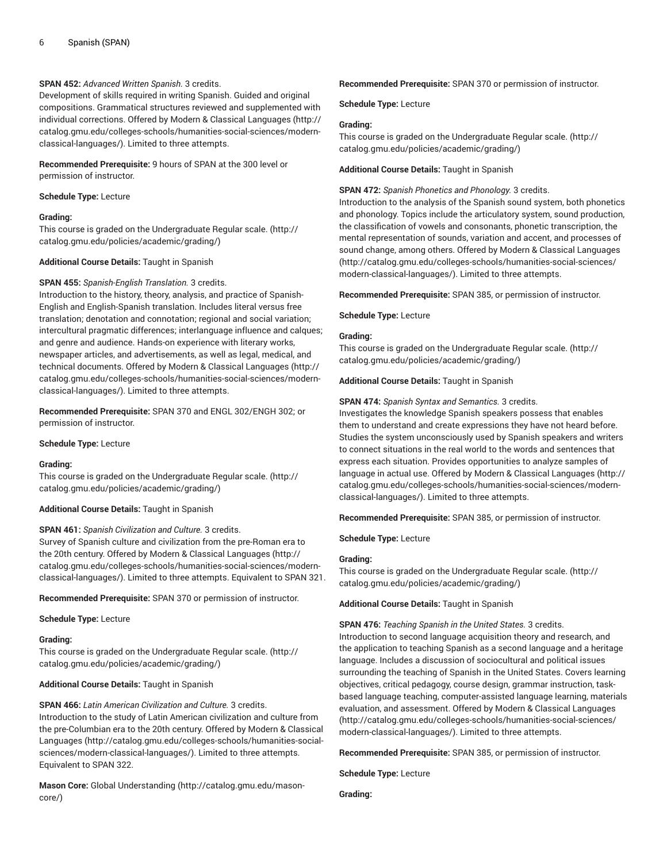# **SPAN 452:** *Advanced Written Spanish.* 3 credits.

Development of skills required in writing Spanish. Guided and original compositions. Grammatical structures reviewed and supplemented with individual corrections. Offered by [Modern & Classical Languages](http://catalog.gmu.edu/colleges-schools/humanities-social-sciences/modern-classical-languages/) ([http://](http://catalog.gmu.edu/colleges-schools/humanities-social-sciences/modern-classical-languages/) [catalog.gmu.edu/colleges-schools/humanities-social-sciences/modern](http://catalog.gmu.edu/colleges-schools/humanities-social-sciences/modern-classical-languages/)[classical-languages/\)](http://catalog.gmu.edu/colleges-schools/humanities-social-sciences/modern-classical-languages/). Limited to three attempts.

**Recommended Prerequisite:** 9 hours of SPAN at the 300 level or permission of instructor.

**Schedule Type:** Lecture

# **Grading:**

This course is graded on the [Undergraduate](http://catalog.gmu.edu/policies/academic/grading/) Regular scale. ([http://](http://catalog.gmu.edu/policies/academic/grading/) [catalog.gmu.edu/policies/academic/grading/\)](http://catalog.gmu.edu/policies/academic/grading/)

# **Additional Course Details:** Taught in Spanish

# **SPAN 455:** *Spanish-English Translation.* 3 credits.

Introduction to the history, theory, analysis, and practice of Spanish-English and English-Spanish translation. Includes literal versus free translation; denotation and connotation; regional and social variation; intercultural pragmatic differences; interlanguage influence and calques; and genre and audience. Hands-on experience with literary works, newspaper articles, and advertisements, as well as legal, medical, and technical documents. Offered by [Modern & Classical Languages](http://catalog.gmu.edu/colleges-schools/humanities-social-sciences/modern-classical-languages/) ([http://](http://catalog.gmu.edu/colleges-schools/humanities-social-sciences/modern-classical-languages/) [catalog.gmu.edu/colleges-schools/humanities-social-sciences/modern](http://catalog.gmu.edu/colleges-schools/humanities-social-sciences/modern-classical-languages/)[classical-languages/\)](http://catalog.gmu.edu/colleges-schools/humanities-social-sciences/modern-classical-languages/). Limited to three attempts.

**Recommended Prerequisite:** SPAN 370 and ENGL 302/ENGH 302; or permission of instructor.

# **Schedule Type:** Lecture

# **Grading:**

This course is graded on the [Undergraduate](http://catalog.gmu.edu/policies/academic/grading/) Regular scale. ([http://](http://catalog.gmu.edu/policies/academic/grading/) [catalog.gmu.edu/policies/academic/grading/\)](http://catalog.gmu.edu/policies/academic/grading/)

**Additional Course Details:** Taught in Spanish

# **SPAN 461:** *Spanish Civilization and Culture.* 3 credits.

Survey of Spanish culture and civilization from the pre-Roman era to the 20th century. Offered by [Modern & Classical Languages](http://catalog.gmu.edu/colleges-schools/humanities-social-sciences/modern-classical-languages/) ([http://](http://catalog.gmu.edu/colleges-schools/humanities-social-sciences/modern-classical-languages/) [catalog.gmu.edu/colleges-schools/humanities-social-sciences/modern](http://catalog.gmu.edu/colleges-schools/humanities-social-sciences/modern-classical-languages/)[classical-languages/\)](http://catalog.gmu.edu/colleges-schools/humanities-social-sciences/modern-classical-languages/). Limited to three attempts. Equivalent to SPAN 321.

**Recommended Prerequisite:** SPAN 370 or permission of instructor.

**Schedule Type:** Lecture

# **Grading:**

This course is graded on the [Undergraduate](http://catalog.gmu.edu/policies/academic/grading/) Regular scale. ([http://](http://catalog.gmu.edu/policies/academic/grading/) [catalog.gmu.edu/policies/academic/grading/\)](http://catalog.gmu.edu/policies/academic/grading/)

# **Additional Course Details:** Taught in Spanish

**SPAN 466:** *Latin American Civilization and Culture.* 3 credits. Introduction to the study of Latin American civilization and culture from the pre-Columbian era to the 20th century. Offered by [Modern & Classical](http://catalog.gmu.edu/colleges-schools/humanities-social-sciences/modern-classical-languages/) [Languages \(http://catalog.gmu.edu/colleges-schools/humanities-social](http://catalog.gmu.edu/colleges-schools/humanities-social-sciences/modern-classical-languages/)[sciences/modern-classical-languages/](http://catalog.gmu.edu/colleges-schools/humanities-social-sciences/modern-classical-languages/)). Limited to three attempts. Equivalent to SPAN 322.

**Mason Core:** [Global Understanding](http://catalog.gmu.edu/mason-core/) ([http://catalog.gmu.edu/mason](http://catalog.gmu.edu/mason-core/)[core/\)](http://catalog.gmu.edu/mason-core/)

#### **Recommended Prerequisite:** SPAN 370 or permission of instructor.

**Schedule Type:** Lecture

# **Grading:**

This course is graded on the [Undergraduate](http://catalog.gmu.edu/policies/academic/grading/) Regular scale. ([http://](http://catalog.gmu.edu/policies/academic/grading/) [catalog.gmu.edu/policies/academic/grading/](http://catalog.gmu.edu/policies/academic/grading/))

**Additional Course Details:** Taught in Spanish

# **SPAN 472:** *Spanish Phonetics and Phonology.* 3 credits.

Introduction to the analysis of the Spanish sound system, both phonetics and phonology. Topics include the articulatory system, sound production, the classification of vowels and consonants, phonetic transcription, the mental representation of sounds, variation and accent, and processes of sound change, among others. Offered by [Modern & Classical Languages](http://catalog.gmu.edu/colleges-schools/humanities-social-sciences/modern-classical-languages/) [\(http://catalog.gmu.edu/colleges-schools/humanities-social-sciences/](http://catalog.gmu.edu/colleges-schools/humanities-social-sciences/modern-classical-languages/) [modern-classical-languages/\)](http://catalog.gmu.edu/colleges-schools/humanities-social-sciences/modern-classical-languages/). Limited to three attempts.

**Recommended Prerequisite:** SPAN 385, or permission of instructor.

**Schedule Type:** Lecture

#### **Grading:**

This course is graded on the [Undergraduate](http://catalog.gmu.edu/policies/academic/grading/) Regular scale. ([http://](http://catalog.gmu.edu/policies/academic/grading/) [catalog.gmu.edu/policies/academic/grading/](http://catalog.gmu.edu/policies/academic/grading/))

**Additional Course Details:** Taught in Spanish

**SPAN 474:** *Spanish Syntax and Semantics.* 3 credits.

Investigates the knowledge Spanish speakers possess that enables them to understand and create expressions they have not heard before. Studies the system unconsciously used by Spanish speakers and writers to connect situations in the real world to the words and sentences that express each situation. Provides opportunities to analyze samples of language in actual use. Offered by [Modern & Classical Languages](http://catalog.gmu.edu/colleges-schools/humanities-social-sciences/modern-classical-languages/) ([http://](http://catalog.gmu.edu/colleges-schools/humanities-social-sciences/modern-classical-languages/) [catalog.gmu.edu/colleges-schools/humanities-social-sciences/modern](http://catalog.gmu.edu/colleges-schools/humanities-social-sciences/modern-classical-languages/)[classical-languages/\)](http://catalog.gmu.edu/colleges-schools/humanities-social-sciences/modern-classical-languages/). Limited to three attempts.

**Recommended Prerequisite:** SPAN 385, or permission of instructor.

**Schedule Type:** Lecture

# **Grading:**

This course is graded on the [Undergraduate](http://catalog.gmu.edu/policies/academic/grading/) Regular scale. ([http://](http://catalog.gmu.edu/policies/academic/grading/) [catalog.gmu.edu/policies/academic/grading/](http://catalog.gmu.edu/policies/academic/grading/))

**Additional Course Details:** Taught in Spanish

**SPAN 476:** *Teaching Spanish in the United States.* 3 credits.

Introduction to second language acquisition theory and research, and the application to teaching Spanish as a second language and a heritage language. Includes a discussion of sociocultural and political issues surrounding the teaching of Spanish in the United States. Covers learning objectives, critical pedagogy, course design, grammar instruction, taskbased language teaching, computer-assisted language learning, materials evaluation, and assessment. Offered by [Modern & Classical Languages](http://catalog.gmu.edu/colleges-schools/humanities-social-sciences/modern-classical-languages/) [\(http://catalog.gmu.edu/colleges-schools/humanities-social-sciences/](http://catalog.gmu.edu/colleges-schools/humanities-social-sciences/modern-classical-languages/) [modern-classical-languages/\)](http://catalog.gmu.edu/colleges-schools/humanities-social-sciences/modern-classical-languages/). Limited to three attempts.

**Recommended Prerequisite:** SPAN 385, or permission of instructor.

**Schedule Type:** Lecture

**Grading:**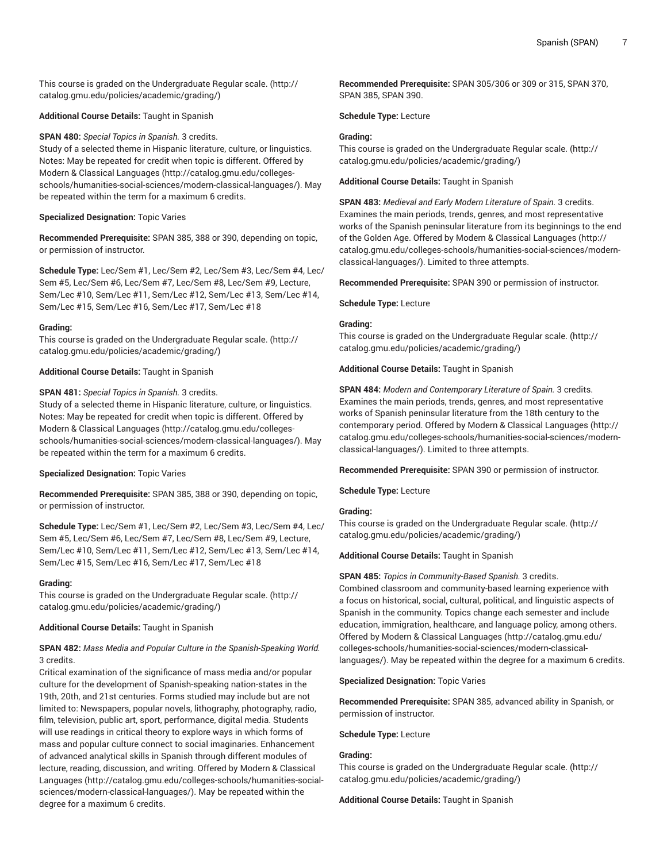This course is graded on the [Undergraduate](http://catalog.gmu.edu/policies/academic/grading/) Regular scale. ([http://](http://catalog.gmu.edu/policies/academic/grading/) [catalog.gmu.edu/policies/academic/grading/\)](http://catalog.gmu.edu/policies/academic/grading/)

**Additional Course Details:** Taught in Spanish

**SPAN 480:** *Special Topics in Spanish.* 3 credits.

Study of a selected theme in Hispanic literature, culture, or linguistics. Notes: May be repeated for credit when topic is different. Offered by [Modern & Classical Languages \(http://catalog.gmu.edu/colleges](http://catalog.gmu.edu/colleges-schools/humanities-social-sciences/modern-classical-languages/)[schools/humanities-social-sciences/modern-classical-languages/\)](http://catalog.gmu.edu/colleges-schools/humanities-social-sciences/modern-classical-languages/). May be repeated within the term for a maximum 6 credits.

# **Specialized Designation:** Topic Varies

**Recommended Prerequisite:** SPAN 385, 388 or 390, depending on topic, or permission of instructor.

**Schedule Type:** Lec/Sem #1, Lec/Sem #2, Lec/Sem #3, Lec/Sem #4, Lec/ Sem #5, Lec/Sem #6, Lec/Sem #7, Lec/Sem #8, Lec/Sem #9, Lecture, Sem/Lec #10, Sem/Lec #11, Sem/Lec #12, Sem/Lec #13, Sem/Lec #14, Sem/Lec #15, Sem/Lec #16, Sem/Lec #17, Sem/Lec #18

# **Grading:**

This course is graded on the [Undergraduate](http://catalog.gmu.edu/policies/academic/grading/) Regular scale. ([http://](http://catalog.gmu.edu/policies/academic/grading/) [catalog.gmu.edu/policies/academic/grading/\)](http://catalog.gmu.edu/policies/academic/grading/)

**Additional Course Details:** Taught in Spanish

# **SPAN 481:** *Special Topics in Spanish.* 3 credits.

Study of a selected theme in Hispanic literature, culture, or linguistics. Notes: May be repeated for credit when topic is different. Offered by [Modern & Classical Languages \(http://catalog.gmu.edu/colleges](http://catalog.gmu.edu/colleges-schools/humanities-social-sciences/modern-classical-languages/)[schools/humanities-social-sciences/modern-classical-languages/\)](http://catalog.gmu.edu/colleges-schools/humanities-social-sciences/modern-classical-languages/). May be repeated within the term for a maximum 6 credits.

# **Specialized Designation:** Topic Varies

**Recommended Prerequisite:** SPAN 385, 388 or 390, depending on topic, or permission of instructor.

**Schedule Type:** Lec/Sem #1, Lec/Sem #2, Lec/Sem #3, Lec/Sem #4, Lec/ Sem #5, Lec/Sem #6, Lec/Sem #7, Lec/Sem #8, Lec/Sem #9, Lecture, Sem/Lec #10, Sem/Lec #11, Sem/Lec #12, Sem/Lec #13, Sem/Lec #14, Sem/Lec #15, Sem/Lec #16, Sem/Lec #17, Sem/Lec #18

# **Grading:**

This course is graded on the [Undergraduate](http://catalog.gmu.edu/policies/academic/grading/) Regular scale. ([http://](http://catalog.gmu.edu/policies/academic/grading/) [catalog.gmu.edu/policies/academic/grading/\)](http://catalog.gmu.edu/policies/academic/grading/)

# **Additional Course Details:** Taught in Spanish

# **SPAN 482:** *Mass Media and Popular Culture in the Spanish-Speaking World.* 3 credits.

Critical examination of the significance of mass media and/or popular culture for the development of Spanish-speaking nation-states in the 19th, 20th, and 21st centuries. Forms studied may include but are not limited to: Newspapers, popular novels, lithography, photography, radio, film, television, public art, sport, performance, digital media. Students will use readings in critical theory to explore ways in which forms of mass and popular culture connect to social imaginaries. Enhancement of advanced analytical skills in Spanish through different modules of lecture, reading, discussion, and writing. Offered by [Modern & Classical](http://catalog.gmu.edu/colleges-schools/humanities-social-sciences/modern-classical-languages/) [Languages \(http://catalog.gmu.edu/colleges-schools/humanities-social](http://catalog.gmu.edu/colleges-schools/humanities-social-sciences/modern-classical-languages/)[sciences/modern-classical-languages/](http://catalog.gmu.edu/colleges-schools/humanities-social-sciences/modern-classical-languages/)). May be repeated within the degree for a maximum 6 credits.

**Recommended Prerequisite:** SPAN 305/306 or 309 or 315, SPAN 370, SPAN 385, SPAN 390.

**Schedule Type:** Lecture

# **Grading:**

This course is graded on the [Undergraduate](http://catalog.gmu.edu/policies/academic/grading/) Regular scale. ([http://](http://catalog.gmu.edu/policies/academic/grading/) [catalog.gmu.edu/policies/academic/grading/](http://catalog.gmu.edu/policies/academic/grading/))

**Additional Course Details:** Taught in Spanish

**SPAN 483:** *Medieval and Early Modern Literature of Spain.* 3 credits. Examines the main periods, trends, genres, and most representative works of the Spanish peninsular literature from its beginnings to the end of the Golden Age. Offered by [Modern & Classical Languages](http://catalog.gmu.edu/colleges-schools/humanities-social-sciences/modern-classical-languages/) ([http://](http://catalog.gmu.edu/colleges-schools/humanities-social-sciences/modern-classical-languages/) [catalog.gmu.edu/colleges-schools/humanities-social-sciences/modern](http://catalog.gmu.edu/colleges-schools/humanities-social-sciences/modern-classical-languages/)[classical-languages/\)](http://catalog.gmu.edu/colleges-schools/humanities-social-sciences/modern-classical-languages/). Limited to three attempts.

**Recommended Prerequisite:** SPAN 390 or permission of instructor.

**Schedule Type:** Lecture

# **Grading:**

This course is graded on the [Undergraduate](http://catalog.gmu.edu/policies/academic/grading/) Regular scale. ([http://](http://catalog.gmu.edu/policies/academic/grading/) [catalog.gmu.edu/policies/academic/grading/](http://catalog.gmu.edu/policies/academic/grading/))

**Additional Course Details:** Taught in Spanish

**SPAN 484:** *Modern and Contemporary Literature of Spain.* 3 credits. Examines the main periods, trends, genres, and most representative works of Spanish peninsular literature from the 18th century to the contemporary period. Offered by [Modern & Classical Languages](http://catalog.gmu.edu/colleges-schools/humanities-social-sciences/modern-classical-languages/) ([http://](http://catalog.gmu.edu/colleges-schools/humanities-social-sciences/modern-classical-languages/) [catalog.gmu.edu/colleges-schools/humanities-social-sciences/modern](http://catalog.gmu.edu/colleges-schools/humanities-social-sciences/modern-classical-languages/)[classical-languages/\)](http://catalog.gmu.edu/colleges-schools/humanities-social-sciences/modern-classical-languages/). Limited to three attempts.

**Recommended Prerequisite:** SPAN 390 or permission of instructor.

**Schedule Type:** Lecture

# **Grading:**

This course is graded on the [Undergraduate](http://catalog.gmu.edu/policies/academic/grading/) Regular scale. ([http://](http://catalog.gmu.edu/policies/academic/grading/) [catalog.gmu.edu/policies/academic/grading/](http://catalog.gmu.edu/policies/academic/grading/))

**Additional Course Details:** Taught in Spanish

**SPAN 485:** *Topics in Community-Based Spanish.* 3 credits.

Combined classroom and community-based learning experience with a focus on historical, social, cultural, political, and linguistic aspects of Spanish in the community. Topics change each semester and include education, immigration, healthcare, and language policy, among others. Offered by [Modern & Classical Languages](http://catalog.gmu.edu/colleges-schools/humanities-social-sciences/modern-classical-languages/) ([http://catalog.gmu.edu/](http://catalog.gmu.edu/colleges-schools/humanities-social-sciences/modern-classical-languages/) [colleges-schools/humanities-social-sciences/modern-classical](http://catalog.gmu.edu/colleges-schools/humanities-social-sciences/modern-classical-languages/)[languages/](http://catalog.gmu.edu/colleges-schools/humanities-social-sciences/modern-classical-languages/)). May be repeated within the degree for a maximum 6 credits.

# **Specialized Designation:** Topic Varies

**Recommended Prerequisite:** SPAN 385, advanced ability in Spanish, or permission of instructor.

**Schedule Type:** Lecture

# **Grading:**

This course is graded on the [Undergraduate](http://catalog.gmu.edu/policies/academic/grading/) Regular scale. ([http://](http://catalog.gmu.edu/policies/academic/grading/) [catalog.gmu.edu/policies/academic/grading/](http://catalog.gmu.edu/policies/academic/grading/))

**Additional Course Details:** Taught in Spanish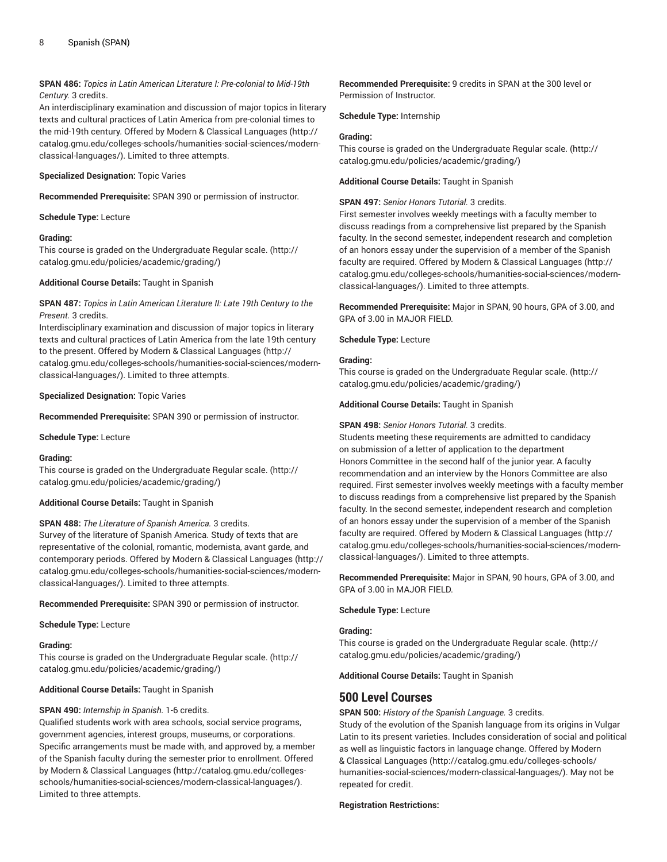# **SPAN 486:** *Topics in Latin American Literature I: Pre-colonial to Mid-19th Century.* 3 credits.

An interdisciplinary examination and discussion of major topics in literary texts and cultural practices of Latin America from pre-colonial times to the mid-19th century. Offered by [Modern & Classical Languages \(http://](http://catalog.gmu.edu/colleges-schools/humanities-social-sciences/modern-classical-languages/) [catalog.gmu.edu/colleges-schools/humanities-social-sciences/modern](http://catalog.gmu.edu/colleges-schools/humanities-social-sciences/modern-classical-languages/)[classical-languages/\)](http://catalog.gmu.edu/colleges-schools/humanities-social-sciences/modern-classical-languages/). Limited to three attempts.

# **Specialized Designation:** Topic Varies

**Recommended Prerequisite:** SPAN 390 or permission of instructor.

**Schedule Type:** Lecture

# **Grading:**

This course is graded on the [Undergraduate](http://catalog.gmu.edu/policies/academic/grading/) Regular scale. ([http://](http://catalog.gmu.edu/policies/academic/grading/) [catalog.gmu.edu/policies/academic/grading/\)](http://catalog.gmu.edu/policies/academic/grading/)

**Additional Course Details:** Taught in Spanish

**SPAN 487:** *Topics in Latin American Literature II: Late 19th Century to the Present.* 3 credits.

Interdisciplinary examination and discussion of major topics in literary texts and cultural practices of Latin America from the late 19th century to the present. Offered by [Modern & Classical Languages \(http://](http://catalog.gmu.edu/colleges-schools/humanities-social-sciences/modern-classical-languages/) [catalog.gmu.edu/colleges-schools/humanities-social-sciences/modern](http://catalog.gmu.edu/colleges-schools/humanities-social-sciences/modern-classical-languages/)[classical-languages/\)](http://catalog.gmu.edu/colleges-schools/humanities-social-sciences/modern-classical-languages/). Limited to three attempts.

**Specialized Designation:** Topic Varies

**Recommended Prerequisite:** SPAN 390 or permission of instructor.

**Schedule Type:** Lecture

# **Grading:**

This course is graded on the [Undergraduate](http://catalog.gmu.edu/policies/academic/grading/) Regular scale. ([http://](http://catalog.gmu.edu/policies/academic/grading/) [catalog.gmu.edu/policies/academic/grading/\)](http://catalog.gmu.edu/policies/academic/grading/)

# **Additional Course Details:** Taught in Spanish

**SPAN 488:** *The Literature of Spanish America.* 3 credits. Survey of the literature of Spanish America. Study of texts that are representative of the colonial, romantic, modernista, avant garde, and contemporary periods. Offered by [Modern & Classical Languages](http://catalog.gmu.edu/colleges-schools/humanities-social-sciences/modern-classical-languages/) ([http://](http://catalog.gmu.edu/colleges-schools/humanities-social-sciences/modern-classical-languages/) [catalog.gmu.edu/colleges-schools/humanities-social-sciences/modern](http://catalog.gmu.edu/colleges-schools/humanities-social-sciences/modern-classical-languages/)[classical-languages/\)](http://catalog.gmu.edu/colleges-schools/humanities-social-sciences/modern-classical-languages/). Limited to three attempts.

**Recommended Prerequisite:** SPAN 390 or permission of instructor.

**Schedule Type:** Lecture

**Grading:**

This course is graded on the [Undergraduate](http://catalog.gmu.edu/policies/academic/grading/) Regular scale. ([http://](http://catalog.gmu.edu/policies/academic/grading/) [catalog.gmu.edu/policies/academic/grading/\)](http://catalog.gmu.edu/policies/academic/grading/)

**Additional Course Details:** Taught in Spanish

# **SPAN 490:** *Internship in Spanish.* 1-6 credits.

Qualified students work with area schools, social service programs, government agencies, interest groups, museums, or corporations. Specific arrangements must be made with, and approved by, a member of the Spanish faculty during the semester prior to enrollment. Offered by [Modern & Classical Languages](http://catalog.gmu.edu/colleges-schools/humanities-social-sciences/modern-classical-languages/) ([http://catalog.gmu.edu/colleges](http://catalog.gmu.edu/colleges-schools/humanities-social-sciences/modern-classical-languages/)[schools/humanities-social-sciences/modern-classical-languages/\)](http://catalog.gmu.edu/colleges-schools/humanities-social-sciences/modern-classical-languages/). Limited to three attempts.

**Recommended Prerequisite:** 9 credits in SPAN at the 300 level or Permission of Instructor.

**Schedule Type:** Internship

# **Grading:**

This course is graded on the [Undergraduate](http://catalog.gmu.edu/policies/academic/grading/) Regular scale. ([http://](http://catalog.gmu.edu/policies/academic/grading/) [catalog.gmu.edu/policies/academic/grading/](http://catalog.gmu.edu/policies/academic/grading/))

**Additional Course Details:** Taught in Spanish

# **SPAN 497:** *Senior Honors Tutorial.* 3 credits.

First semester involves weekly meetings with a faculty member to discuss readings from a comprehensive list prepared by the Spanish faculty. In the second semester, independent research and completion of an honors essay under the supervision of a member of the Spanish faculty are required. Offered by [Modern & Classical Languages \(http://](http://catalog.gmu.edu/colleges-schools/humanities-social-sciences/modern-classical-languages/) [catalog.gmu.edu/colleges-schools/humanities-social-sciences/modern](http://catalog.gmu.edu/colleges-schools/humanities-social-sciences/modern-classical-languages/)[classical-languages/\)](http://catalog.gmu.edu/colleges-schools/humanities-social-sciences/modern-classical-languages/). Limited to three attempts.

**Recommended Prerequisite:** Major in SPAN, 90 hours, GPA of 3.00, and GPA of 3.00 in MAJOR FIELD.

**Schedule Type:** Lecture

# **Grading:**

This course is graded on the [Undergraduate](http://catalog.gmu.edu/policies/academic/grading/) Regular scale. ([http://](http://catalog.gmu.edu/policies/academic/grading/) [catalog.gmu.edu/policies/academic/grading/](http://catalog.gmu.edu/policies/academic/grading/))

**Additional Course Details:** Taught in Spanish

# **SPAN 498:** *Senior Honors Tutorial.* 3 credits.

Students meeting these requirements are admitted to candidacy on submission of a letter of application to the department Honors Committee in the second half of the junior year. A faculty recommendation and an interview by the Honors Committee are also required. First semester involves weekly meetings with a faculty member to discuss readings from a comprehensive list prepared by the Spanish faculty. In the second semester, independent research and completion of an honors essay under the supervision of a member of the Spanish faculty are required. Offered by [Modern & Classical Languages \(http://](http://catalog.gmu.edu/colleges-schools/humanities-social-sciences/modern-classical-languages/) [catalog.gmu.edu/colleges-schools/humanities-social-sciences/modern](http://catalog.gmu.edu/colleges-schools/humanities-social-sciences/modern-classical-languages/)[classical-languages/\)](http://catalog.gmu.edu/colleges-schools/humanities-social-sciences/modern-classical-languages/). Limited to three attempts.

**Recommended Prerequisite:** Major in SPAN, 90 hours, GPA of 3.00, and GPA of 3.00 in MAJOR FIELD.

**Schedule Type:** Lecture

# **Grading:**

This course is graded on the [Undergraduate](http://catalog.gmu.edu/policies/academic/grading/) Regular scale. ([http://](http://catalog.gmu.edu/policies/academic/grading/) [catalog.gmu.edu/policies/academic/grading/](http://catalog.gmu.edu/policies/academic/grading/))

**Additional Course Details:** Taught in Spanish

# **500 Level Courses**

**SPAN 500:** *History of the Spanish Language.* 3 credits.

Study of the evolution of the Spanish language from its origins in Vulgar Latin to its present varieties. Includes consideration of social and political as well as linguistic factors in language change. Offered by [Modern](http://catalog.gmu.edu/colleges-schools/humanities-social-sciences/modern-classical-languages/) [& Classical Languages](http://catalog.gmu.edu/colleges-schools/humanities-social-sciences/modern-classical-languages/) [\(http://catalog.gmu.edu/colleges-schools/](http://catalog.gmu.edu/colleges-schools/humanities-social-sciences/modern-classical-languages/) [humanities-social-sciences/modern-classical-languages/\)](http://catalog.gmu.edu/colleges-schools/humanities-social-sciences/modern-classical-languages/). May not be repeated for credit.

# **Registration Restrictions:**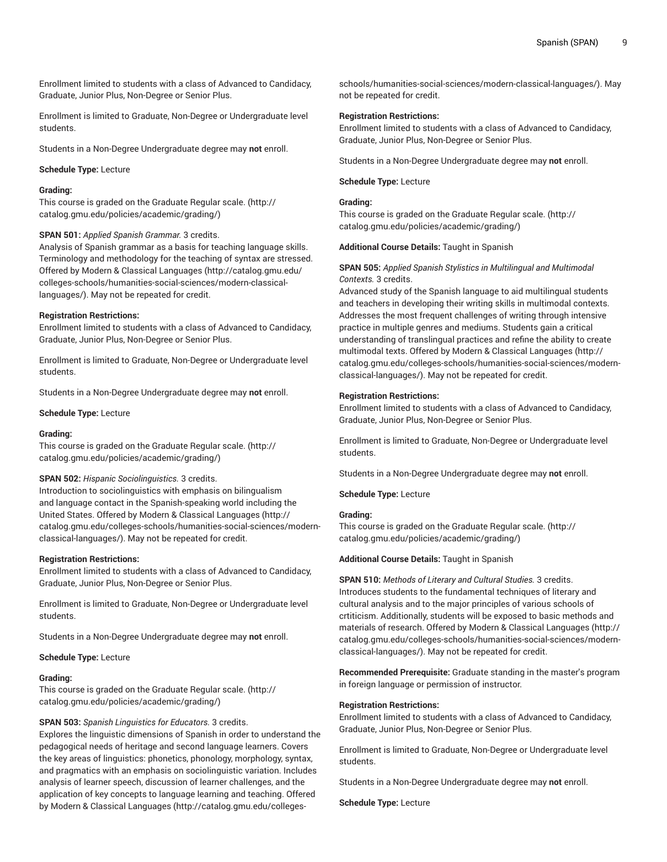Enrollment limited to students with a class of Advanced to Candidacy, Graduate, Junior Plus, Non-Degree or Senior Plus.

Enrollment is limited to Graduate, Non-Degree or Undergraduate level students.

Students in a Non-Degree Undergraduate degree may **not** enroll.

**Schedule Type:** Lecture

# **Grading:**

This course is graded on the [Graduate Regular scale.](http://catalog.gmu.edu/policies/academic/grading/) [\(http://](http://catalog.gmu.edu/policies/academic/grading/) [catalog.gmu.edu/policies/academic/grading/\)](http://catalog.gmu.edu/policies/academic/grading/)

#### **SPAN 501:** *Applied Spanish Grammar.* 3 credits.

Analysis of Spanish grammar as a basis for teaching language skills. Terminology and methodology for the teaching of syntax are stressed. Offered by [Modern & Classical Languages \(http://catalog.gmu.edu/](http://catalog.gmu.edu/colleges-schools/humanities-social-sciences/modern-classical-languages/) [colleges-schools/humanities-social-sciences/modern-classical](http://catalog.gmu.edu/colleges-schools/humanities-social-sciences/modern-classical-languages/)[languages/\)](http://catalog.gmu.edu/colleges-schools/humanities-social-sciences/modern-classical-languages/). May not be repeated for credit.

#### **Registration Restrictions:**

Enrollment limited to students with a class of Advanced to Candidacy, Graduate, Junior Plus, Non-Degree or Senior Plus.

Enrollment is limited to Graduate, Non-Degree or Undergraduate level students.

Students in a Non-Degree Undergraduate degree may **not** enroll.

#### **Schedule Type:** Lecture

#### **Grading:**

This course is graded on the [Graduate Regular scale.](http://catalog.gmu.edu/policies/academic/grading/) [\(http://](http://catalog.gmu.edu/policies/academic/grading/) [catalog.gmu.edu/policies/academic/grading/\)](http://catalog.gmu.edu/policies/academic/grading/)

#### **SPAN 502:** *Hispanic Sociolinguistics.* 3 credits.

Introduction to sociolinguistics with emphasis on bilingualism and language contact in the Spanish-speaking world including the United States. Offered by [Modern & Classical Languages \(http://](http://catalog.gmu.edu/colleges-schools/humanities-social-sciences/modern-classical-languages/) [catalog.gmu.edu/colleges-schools/humanities-social-sciences/modern](http://catalog.gmu.edu/colleges-schools/humanities-social-sciences/modern-classical-languages/)[classical-languages/\)](http://catalog.gmu.edu/colleges-schools/humanities-social-sciences/modern-classical-languages/). May not be repeated for credit.

#### **Registration Restrictions:**

Enrollment limited to students with a class of Advanced to Candidacy, Graduate, Junior Plus, Non-Degree or Senior Plus.

Enrollment is limited to Graduate, Non-Degree or Undergraduate level students.

Students in a Non-Degree Undergraduate degree may **not** enroll.

**Schedule Type:** Lecture

#### **Grading:**

This course is graded on the [Graduate Regular scale.](http://catalog.gmu.edu/policies/academic/grading/) [\(http://](http://catalog.gmu.edu/policies/academic/grading/) [catalog.gmu.edu/policies/academic/grading/\)](http://catalog.gmu.edu/policies/academic/grading/)

#### **SPAN 503:** *Spanish Linguistics for Educators.* 3 credits.

Explores the linguistic dimensions of Spanish in order to understand the pedagogical needs of heritage and second language learners. Covers the key areas of linguistics: phonetics, phonology, morphology, syntax, and pragmatics with an emphasis on sociolinguistic variation. Includes analysis of learner speech, discussion of learner challenges, and the application of key concepts to language learning and teaching. Offered by [Modern & Classical Languages](http://catalog.gmu.edu/colleges-schools/humanities-social-sciences/modern-classical-languages/) ([http://catalog.gmu.edu/colleges-](http://catalog.gmu.edu/colleges-schools/humanities-social-sciences/modern-classical-languages/)

[schools/humanities-social-sciences/modern-classical-languages/](http://catalog.gmu.edu/colleges-schools/humanities-social-sciences/modern-classical-languages/)). May not be repeated for credit.

#### **Registration Restrictions:**

Enrollment limited to students with a class of Advanced to Candidacy, Graduate, Junior Plus, Non-Degree or Senior Plus.

Students in a Non-Degree Undergraduate degree may **not** enroll.

#### **Schedule Type:** Lecture

# **Grading:**

This course is graded on the [Graduate Regular scale.](http://catalog.gmu.edu/policies/academic/grading/) ([http://](http://catalog.gmu.edu/policies/academic/grading/) [catalog.gmu.edu/policies/academic/grading/](http://catalog.gmu.edu/policies/academic/grading/))

#### **Additional Course Details:** Taught in Spanish

# **SPAN 505:** *Applied Spanish Stylistics in Multilingual and Multimodal Contexts.* 3 credits.

Advanced study of the Spanish language to aid multilingual students and teachers in developing their writing skills in multimodal contexts. Addresses the most frequent challenges of writing through intensive practice in multiple genres and mediums. Students gain a critical understanding of translingual practices and refine the ability to create multimodal texts. Offered by [Modern & Classical Languages](http://catalog.gmu.edu/colleges-schools/humanities-social-sciences/modern-classical-languages/) ([http://](http://catalog.gmu.edu/colleges-schools/humanities-social-sciences/modern-classical-languages/) [catalog.gmu.edu/colleges-schools/humanities-social-sciences/modern](http://catalog.gmu.edu/colleges-schools/humanities-social-sciences/modern-classical-languages/)[classical-languages/\)](http://catalog.gmu.edu/colleges-schools/humanities-social-sciences/modern-classical-languages/). May not be repeated for credit.

#### **Registration Restrictions:**

Enrollment limited to students with a class of Advanced to Candidacy, Graduate, Junior Plus, Non-Degree or Senior Plus.

Enrollment is limited to Graduate, Non-Degree or Undergraduate level students.

Students in a Non-Degree Undergraduate degree may **not** enroll.

**Schedule Type:** Lecture

# **Grading:**

This course is graded on the [Graduate Regular scale.](http://catalog.gmu.edu/policies/academic/grading/) ([http://](http://catalog.gmu.edu/policies/academic/grading/) [catalog.gmu.edu/policies/academic/grading/](http://catalog.gmu.edu/policies/academic/grading/))

#### **Additional Course Details:** Taught in Spanish

**SPAN 510:** *Methods of Literary and Cultural Studies.* 3 credits. Introduces students to the fundamental techniques of literary and cultural analysis and to the major principles of various schools of crtiticism. Additionally, students will be exposed to basic methods and materials of research. Offered by [Modern & Classical Languages](http://catalog.gmu.edu/colleges-schools/humanities-social-sciences/modern-classical-languages/) ([http://](http://catalog.gmu.edu/colleges-schools/humanities-social-sciences/modern-classical-languages/) [catalog.gmu.edu/colleges-schools/humanities-social-sciences/modern](http://catalog.gmu.edu/colleges-schools/humanities-social-sciences/modern-classical-languages/)[classical-languages/\)](http://catalog.gmu.edu/colleges-schools/humanities-social-sciences/modern-classical-languages/). May not be repeated for credit.

**Recommended Prerequisite:** Graduate standing in the master's program in foreign language or permission of instructor.

#### **Registration Restrictions:**

Enrollment limited to students with a class of Advanced to Candidacy, Graduate, Junior Plus, Non-Degree or Senior Plus.

Enrollment is limited to Graduate, Non-Degree or Undergraduate level students.

Students in a Non-Degree Undergraduate degree may **not** enroll.

**Schedule Type:** Lecture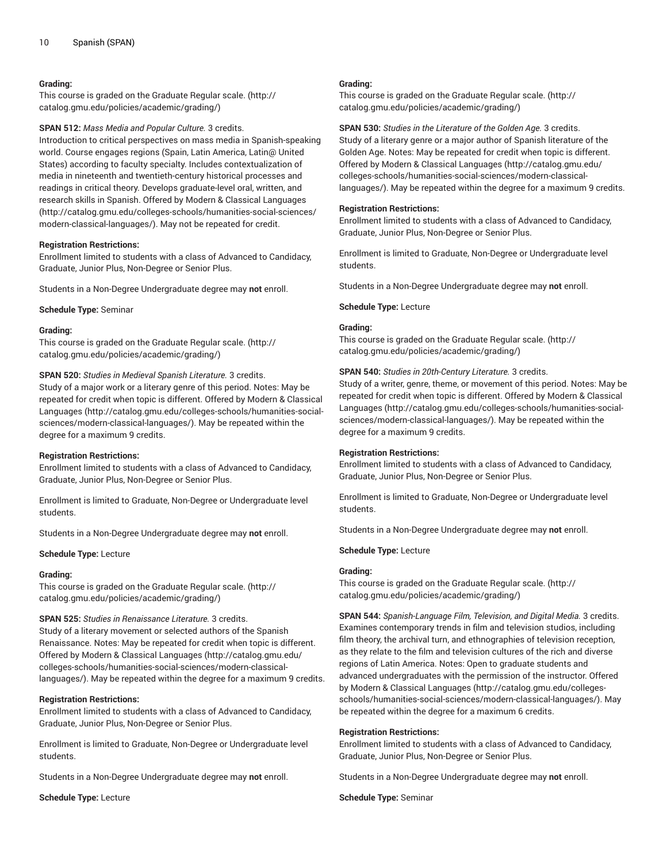# **Grading:**

This course is graded on the [Graduate Regular scale.](http://catalog.gmu.edu/policies/academic/grading/) [\(http://](http://catalog.gmu.edu/policies/academic/grading/) [catalog.gmu.edu/policies/academic/grading/\)](http://catalog.gmu.edu/policies/academic/grading/)

**SPAN 512:** *Mass Media and Popular Culture.* 3 credits.

Introduction to critical perspectives on mass media in Spanish-speaking world. Course engages regions (Spain, Latin America, Latin@ United States) according to faculty specialty. Includes contextualization of media in nineteenth and twentieth-century historical processes and readings in critical theory. Develops graduate-level oral, written, and research skills in Spanish. Offered by [Modern & Classical Languages](http://catalog.gmu.edu/colleges-schools/humanities-social-sciences/modern-classical-languages/) ([http://catalog.gmu.edu/colleges-schools/humanities-social-sciences/](http://catalog.gmu.edu/colleges-schools/humanities-social-sciences/modern-classical-languages/) [modern-classical-languages/](http://catalog.gmu.edu/colleges-schools/humanities-social-sciences/modern-classical-languages/)). May not be repeated for credit.

#### **Registration Restrictions:**

Enrollment limited to students with a class of Advanced to Candidacy, Graduate, Junior Plus, Non-Degree or Senior Plus.

Students in a Non-Degree Undergraduate degree may **not** enroll.

**Schedule Type:** Seminar

#### **Grading:**

This course is graded on the [Graduate Regular scale.](http://catalog.gmu.edu/policies/academic/grading/) [\(http://](http://catalog.gmu.edu/policies/academic/grading/) [catalog.gmu.edu/policies/academic/grading/\)](http://catalog.gmu.edu/policies/academic/grading/)

**SPAN 520:** *Studies in Medieval Spanish Literature.* 3 credits. Study of a major work or a literary genre of this period. Notes: May be repeated for credit when topic is different. Offered by [Modern & Classical](http://catalog.gmu.edu/colleges-schools/humanities-social-sciences/modern-classical-languages/) [Languages \(http://catalog.gmu.edu/colleges-schools/humanities-social](http://catalog.gmu.edu/colleges-schools/humanities-social-sciences/modern-classical-languages/)[sciences/modern-classical-languages/](http://catalog.gmu.edu/colleges-schools/humanities-social-sciences/modern-classical-languages/)). May be repeated within the degree for a maximum 9 credits.

# **Registration Restrictions:**

Enrollment limited to students with a class of Advanced to Candidacy, Graduate, Junior Plus, Non-Degree or Senior Plus.

Enrollment is limited to Graduate, Non-Degree or Undergraduate level students.

Students in a Non-Degree Undergraduate degree may **not** enroll.

#### **Schedule Type:** Lecture

#### **Grading:**

This course is graded on the [Graduate Regular scale.](http://catalog.gmu.edu/policies/academic/grading/) [\(http://](http://catalog.gmu.edu/policies/academic/grading/) [catalog.gmu.edu/policies/academic/grading/\)](http://catalog.gmu.edu/policies/academic/grading/)

#### **SPAN 525:** *Studies in Renaissance Literature.* 3 credits.

Study of a literary movement or selected authors of the Spanish Renaissance. Notes: May be repeated for credit when topic is different. Offered by [Modern & Classical Languages \(http://catalog.gmu.edu/](http://catalog.gmu.edu/colleges-schools/humanities-social-sciences/modern-classical-languages/) [colleges-schools/humanities-social-sciences/modern-classical](http://catalog.gmu.edu/colleges-schools/humanities-social-sciences/modern-classical-languages/)[languages/\)](http://catalog.gmu.edu/colleges-schools/humanities-social-sciences/modern-classical-languages/). May be repeated within the degree for a maximum 9 credits.

#### **Registration Restrictions:**

Enrollment limited to students with a class of Advanced to Candidacy, Graduate, Junior Plus, Non-Degree or Senior Plus.

Enrollment is limited to Graduate, Non-Degree or Undergraduate level students.

Students in a Non-Degree Undergraduate degree may **not** enroll.

**Schedule Type:** Lecture

# **Grading:**

This course is graded on the [Graduate Regular scale.](http://catalog.gmu.edu/policies/academic/grading/) ([http://](http://catalog.gmu.edu/policies/academic/grading/) [catalog.gmu.edu/policies/academic/grading/](http://catalog.gmu.edu/policies/academic/grading/))

**SPAN 530:** *Studies in the Literature of the Golden Age.* 3 credits. Study of a literary genre or a major author of Spanish literature of the Golden Age. Notes: May be repeated for credit when topic is different. Offered by [Modern & Classical Languages](http://catalog.gmu.edu/colleges-schools/humanities-social-sciences/modern-classical-languages/) ([http://catalog.gmu.edu/](http://catalog.gmu.edu/colleges-schools/humanities-social-sciences/modern-classical-languages/) [colleges-schools/humanities-social-sciences/modern-classical](http://catalog.gmu.edu/colleges-schools/humanities-social-sciences/modern-classical-languages/)[languages/](http://catalog.gmu.edu/colleges-schools/humanities-social-sciences/modern-classical-languages/)). May be repeated within the degree for a maximum 9 credits.

#### **Registration Restrictions:**

Enrollment limited to students with a class of Advanced to Candidacy, Graduate, Junior Plus, Non-Degree or Senior Plus.

Enrollment is limited to Graduate, Non-Degree or Undergraduate level students.

Students in a Non-Degree Undergraduate degree may **not** enroll.

#### **Schedule Type:** Lecture

# **Grading:**

This course is graded on the [Graduate Regular scale.](http://catalog.gmu.edu/policies/academic/grading/) ([http://](http://catalog.gmu.edu/policies/academic/grading/) [catalog.gmu.edu/policies/academic/grading/](http://catalog.gmu.edu/policies/academic/grading/))

**SPAN 540:** *Studies in 20th-Century Literature.* 3 credits.

Study of a writer, genre, theme, or movement of this period. Notes: May be repeated for credit when topic is different. Offered by [Modern & Classical](http://catalog.gmu.edu/colleges-schools/humanities-social-sciences/modern-classical-languages/) [Languages](http://catalog.gmu.edu/colleges-schools/humanities-social-sciences/modern-classical-languages/) ([http://catalog.gmu.edu/colleges-schools/humanities-social](http://catalog.gmu.edu/colleges-schools/humanities-social-sciences/modern-classical-languages/)[sciences/modern-classical-languages/\)](http://catalog.gmu.edu/colleges-schools/humanities-social-sciences/modern-classical-languages/). May be repeated within the degree for a maximum 9 credits.

# **Registration Restrictions:**

Enrollment limited to students with a class of Advanced to Candidacy, Graduate, Junior Plus, Non-Degree or Senior Plus.

Enrollment is limited to Graduate, Non-Degree or Undergraduate level students.

Students in a Non-Degree Undergraduate degree may **not** enroll.

**Schedule Type:** Lecture

#### **Grading:**

This course is graded on the [Graduate Regular scale.](http://catalog.gmu.edu/policies/academic/grading/) ([http://](http://catalog.gmu.edu/policies/academic/grading/) [catalog.gmu.edu/policies/academic/grading/](http://catalog.gmu.edu/policies/academic/grading/))

**SPAN 544:** *Spanish-Language Film, Television, and Digital Media.* 3 credits. Examines contemporary trends in film and television studios, including film theory, the archival turn, and ethnographies of television reception, as they relate to the film and television cultures of the rich and diverse regions of Latin America. Notes: Open to graduate students and advanced undergraduates with the permission of the instructor. Offered by [Modern & Classical Languages \(http://catalog.gmu.edu/colleges](http://catalog.gmu.edu/colleges-schools/humanities-social-sciences/modern-classical-languages/)[schools/humanities-social-sciences/modern-classical-languages/](http://catalog.gmu.edu/colleges-schools/humanities-social-sciences/modern-classical-languages/)). May be repeated within the degree for a maximum 6 credits.

#### **Registration Restrictions:**

Enrollment limited to students with a class of Advanced to Candidacy, Graduate, Junior Plus, Non-Degree or Senior Plus.

Students in a Non-Degree Undergraduate degree may **not** enroll.

**Schedule Type:** Seminar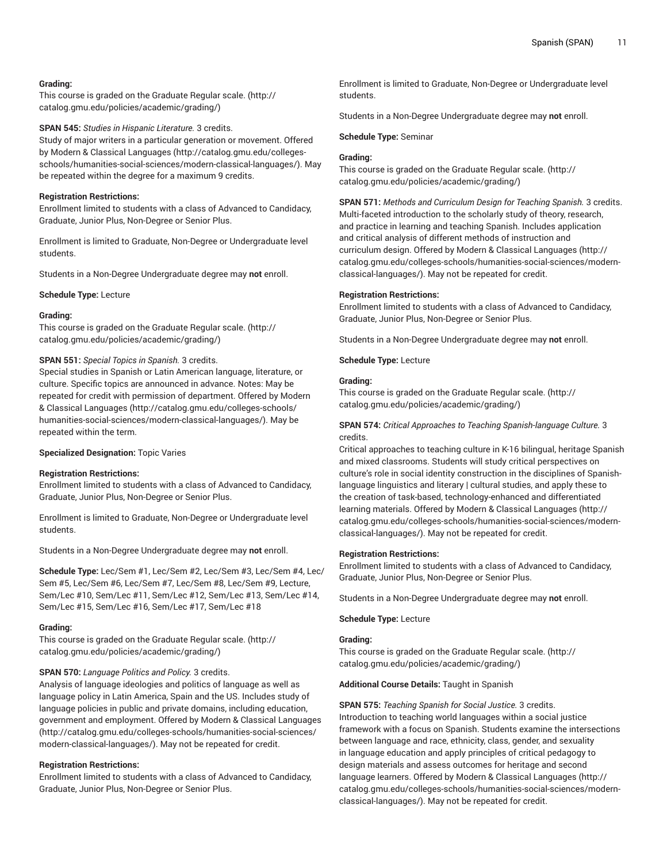# **Grading:**

This course is graded on the [Graduate Regular scale.](http://catalog.gmu.edu/policies/academic/grading/) [\(http://](http://catalog.gmu.edu/policies/academic/grading/) [catalog.gmu.edu/policies/academic/grading/\)](http://catalog.gmu.edu/policies/academic/grading/)

**SPAN 545:** *Studies in Hispanic Literature.* 3 credits.

Study of major writers in a particular generation or movement. Offered by [Modern & Classical Languages](http://catalog.gmu.edu/colleges-schools/humanities-social-sciences/modern-classical-languages/) ([http://catalog.gmu.edu/colleges](http://catalog.gmu.edu/colleges-schools/humanities-social-sciences/modern-classical-languages/)[schools/humanities-social-sciences/modern-classical-languages/\)](http://catalog.gmu.edu/colleges-schools/humanities-social-sciences/modern-classical-languages/). May be repeated within the degree for a maximum 9 credits.

# **Registration Restrictions:**

Enrollment limited to students with a class of Advanced to Candidacy, Graduate, Junior Plus, Non-Degree or Senior Plus.

Enrollment is limited to Graduate, Non-Degree or Undergraduate level students.

Students in a Non-Degree Undergraduate degree may **not** enroll.

**Schedule Type:** Lecture

#### **Grading:**

This course is graded on the [Graduate Regular scale.](http://catalog.gmu.edu/policies/academic/grading/) [\(http://](http://catalog.gmu.edu/policies/academic/grading/) [catalog.gmu.edu/policies/academic/grading/\)](http://catalog.gmu.edu/policies/academic/grading/)

# **SPAN 551:** *Special Topics in Spanish.* 3 credits.

Special studies in Spanish or Latin American language, literature, or culture. Specific topics are announced in advance. Notes: May be repeated for credit with permission of department. Offered by [Modern](http://catalog.gmu.edu/colleges-schools/humanities-social-sciences/modern-classical-languages/) [& Classical Languages](http://catalog.gmu.edu/colleges-schools/humanities-social-sciences/modern-classical-languages/) ([http://catalog.gmu.edu/colleges-schools/](http://catalog.gmu.edu/colleges-schools/humanities-social-sciences/modern-classical-languages/) [humanities-social-sciences/modern-classical-languages/](http://catalog.gmu.edu/colleges-schools/humanities-social-sciences/modern-classical-languages/)). May be repeated within the term.

# **Specialized Designation:** Topic Varies

# **Registration Restrictions:**

Enrollment limited to students with a class of Advanced to Candidacy, Graduate, Junior Plus, Non-Degree or Senior Plus.

Enrollment is limited to Graduate, Non-Degree or Undergraduate level students.

Students in a Non-Degree Undergraduate degree may **not** enroll.

**Schedule Type:** Lec/Sem #1, Lec/Sem #2, Lec/Sem #3, Lec/Sem #4, Lec/ Sem #5, Lec/Sem #6, Lec/Sem #7, Lec/Sem #8, Lec/Sem #9, Lecture, Sem/Lec #10, Sem/Lec #11, Sem/Lec #12, Sem/Lec #13, Sem/Lec #14, Sem/Lec #15, Sem/Lec #16, Sem/Lec #17, Sem/Lec #18

# **Grading:**

This course is graded on the [Graduate Regular scale.](http://catalog.gmu.edu/policies/academic/grading/) [\(http://](http://catalog.gmu.edu/policies/academic/grading/) [catalog.gmu.edu/policies/academic/grading/\)](http://catalog.gmu.edu/policies/academic/grading/)

# **SPAN 570:** *Language Politics and Policy.* 3 credits.

Analysis of language ideologies and politics of language as well as language policy in Latin America, Spain and the US. Includes study of language policies in public and private domains, including education, government and employment. Offered by [Modern & Classical Languages](http://catalog.gmu.edu/colleges-schools/humanities-social-sciences/modern-classical-languages/) ([http://catalog.gmu.edu/colleges-schools/humanities-social-sciences/](http://catalog.gmu.edu/colleges-schools/humanities-social-sciences/modern-classical-languages/) [modern-classical-languages/](http://catalog.gmu.edu/colleges-schools/humanities-social-sciences/modern-classical-languages/)). May not be repeated for credit.

# **Registration Restrictions:**

Enrollment limited to students with a class of Advanced to Candidacy, Graduate, Junior Plus, Non-Degree or Senior Plus.

Enrollment is limited to Graduate, Non-Degree or Undergraduate level students.

Students in a Non-Degree Undergraduate degree may **not** enroll.

**Schedule Type:** Seminar

# **Grading:**

This course is graded on the [Graduate Regular scale.](http://catalog.gmu.edu/policies/academic/grading/) ([http://](http://catalog.gmu.edu/policies/academic/grading/) [catalog.gmu.edu/policies/academic/grading/](http://catalog.gmu.edu/policies/academic/grading/))

**SPAN 571:** *Methods and Curriculum Design for Teaching Spanish.* 3 credits. Multi-faceted introduction to the scholarly study of theory, research, and practice in learning and teaching Spanish. Includes application and critical analysis of different methods of instruction and curriculum design. Offered by [Modern & Classical Languages \(http://](http://catalog.gmu.edu/colleges-schools/humanities-social-sciences/modern-classical-languages/) [catalog.gmu.edu/colleges-schools/humanities-social-sciences/modern](http://catalog.gmu.edu/colleges-schools/humanities-social-sciences/modern-classical-languages/)[classical-languages/\)](http://catalog.gmu.edu/colleges-schools/humanities-social-sciences/modern-classical-languages/). May not be repeated for credit.

#### **Registration Restrictions:**

Enrollment limited to students with a class of Advanced to Candidacy, Graduate, Junior Plus, Non-Degree or Senior Plus.

Students in a Non-Degree Undergraduate degree may **not** enroll.

**Schedule Type:** Lecture

# **Grading:**

This course is graded on the [Graduate Regular scale.](http://catalog.gmu.edu/policies/academic/grading/) ([http://](http://catalog.gmu.edu/policies/academic/grading/) [catalog.gmu.edu/policies/academic/grading/](http://catalog.gmu.edu/policies/academic/grading/))

# **SPAN 574:** *Critical Approaches to Teaching Spanish-language Culture.* 3 credits.

Critical approaches to teaching culture in K-16 bilingual, heritage Spanish and mixed classrooms. Students will study critical perspectives on culture's role in social identity construction in the disciplines of Spanishlanguage linguistics and literary | cultural studies, and apply these to the creation of task-based, technology-enhanced and differentiated learning materials. Offered by [Modern & Classical Languages](http://catalog.gmu.edu/colleges-schools/humanities-social-sciences/modern-classical-languages/) ([http://](http://catalog.gmu.edu/colleges-schools/humanities-social-sciences/modern-classical-languages/) [catalog.gmu.edu/colleges-schools/humanities-social-sciences/modern](http://catalog.gmu.edu/colleges-schools/humanities-social-sciences/modern-classical-languages/)[classical-languages/\)](http://catalog.gmu.edu/colleges-schools/humanities-social-sciences/modern-classical-languages/). May not be repeated for credit.

# **Registration Restrictions:**

Enrollment limited to students with a class of Advanced to Candidacy, Graduate, Junior Plus, Non-Degree or Senior Plus.

Students in a Non-Degree Undergraduate degree may **not** enroll.

# **Schedule Type:** Lecture

#### **Grading:**

This course is graded on the [Graduate Regular scale.](http://catalog.gmu.edu/policies/academic/grading/) ([http://](http://catalog.gmu.edu/policies/academic/grading/) [catalog.gmu.edu/policies/academic/grading/](http://catalog.gmu.edu/policies/academic/grading/))

#### **Additional Course Details:** Taught in Spanish

**SPAN 575:** *Teaching Spanish for Social Justice.* 3 credits. Introduction to teaching world languages within a social justice framework with a focus on Spanish. Students examine the intersections between language and race, ethnicity, class, gender, and sexuality in language education and apply principles of critical pedagogy to design materials and assess outcomes for heritage and second language learners. Offered by [Modern & Classical Languages](http://catalog.gmu.edu/colleges-schools/humanities-social-sciences/modern-classical-languages/) [\(http://](http://catalog.gmu.edu/colleges-schools/humanities-social-sciences/modern-classical-languages/) [catalog.gmu.edu/colleges-schools/humanities-social-sciences/modern](http://catalog.gmu.edu/colleges-schools/humanities-social-sciences/modern-classical-languages/)[classical-languages/\)](http://catalog.gmu.edu/colleges-schools/humanities-social-sciences/modern-classical-languages/). May not be repeated for credit.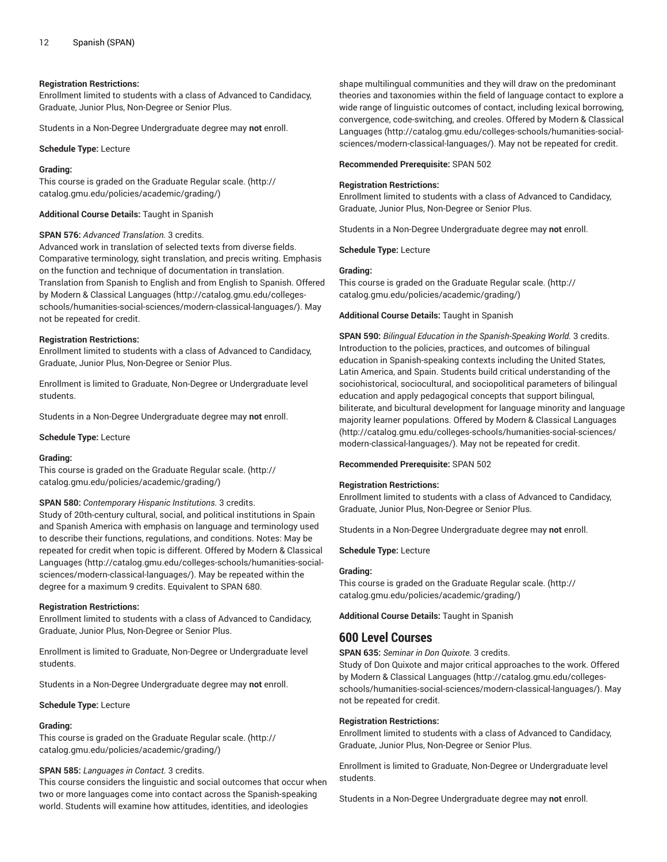#### **Registration Restrictions:**

Enrollment limited to students with a class of Advanced to Candidacy, Graduate, Junior Plus, Non-Degree or Senior Plus.

Students in a Non-Degree Undergraduate degree may **not** enroll.

**Schedule Type:** Lecture

#### **Grading:**

This course is graded on the [Graduate Regular scale.](http://catalog.gmu.edu/policies/academic/grading/) [\(http://](http://catalog.gmu.edu/policies/academic/grading/) [catalog.gmu.edu/policies/academic/grading/\)](http://catalog.gmu.edu/policies/academic/grading/)

**Additional Course Details:** Taught in Spanish

#### **SPAN 576:** *Advanced Translation.* 3 credits.

Advanced work in translation of selected texts from diverse fields. Comparative terminology, sight translation, and precis writing. Emphasis on the function and technique of documentation in translation. Translation from Spanish to English and from English to Spanish. Offered by [Modern & Classical Languages](http://catalog.gmu.edu/colleges-schools/humanities-social-sciences/modern-classical-languages/) ([http://catalog.gmu.edu/colleges](http://catalog.gmu.edu/colleges-schools/humanities-social-sciences/modern-classical-languages/)[schools/humanities-social-sciences/modern-classical-languages/\)](http://catalog.gmu.edu/colleges-schools/humanities-social-sciences/modern-classical-languages/). May not be repeated for credit.

#### **Registration Restrictions:**

Enrollment limited to students with a class of Advanced to Candidacy, Graduate, Junior Plus, Non-Degree or Senior Plus.

Enrollment is limited to Graduate, Non-Degree or Undergraduate level students.

Students in a Non-Degree Undergraduate degree may **not** enroll.

**Schedule Type:** Lecture

#### **Grading:**

This course is graded on the [Graduate Regular scale.](http://catalog.gmu.edu/policies/academic/grading/) [\(http://](http://catalog.gmu.edu/policies/academic/grading/) [catalog.gmu.edu/policies/academic/grading/\)](http://catalog.gmu.edu/policies/academic/grading/)

#### **SPAN 580:** *Contemporary Hispanic Institutions.* 3 credits.

Study of 20th-century cultural, social, and political institutions in Spain and Spanish America with emphasis on language and terminology used to describe their functions, regulations, and conditions. Notes: May be repeated for credit when topic is different. Offered by [Modern & Classical](http://catalog.gmu.edu/colleges-schools/humanities-social-sciences/modern-classical-languages/) [Languages \(http://catalog.gmu.edu/colleges-schools/humanities-social](http://catalog.gmu.edu/colleges-schools/humanities-social-sciences/modern-classical-languages/)[sciences/modern-classical-languages/](http://catalog.gmu.edu/colleges-schools/humanities-social-sciences/modern-classical-languages/)). May be repeated within the degree for a maximum 9 credits. Equivalent to SPAN 680.

#### **Registration Restrictions:**

Enrollment limited to students with a class of Advanced to Candidacy, Graduate, Junior Plus, Non-Degree or Senior Plus.

Enrollment is limited to Graduate, Non-Degree or Undergraduate level students.

Students in a Non-Degree Undergraduate degree may **not** enroll.

#### **Schedule Type:** Lecture

#### **Grading:**

This course is graded on the [Graduate Regular scale.](http://catalog.gmu.edu/policies/academic/grading/) [\(http://](http://catalog.gmu.edu/policies/academic/grading/) [catalog.gmu.edu/policies/academic/grading/\)](http://catalog.gmu.edu/policies/academic/grading/)

# **SPAN 585:** *Languages in Contact.* 3 credits.

This course considers the linguistic and social outcomes that occur when two or more languages come into contact across the Spanish-speaking world. Students will examine how attitudes, identities, and ideologies

shape multilingual communities and they will draw on the predominant theories and taxonomies within the field of language contact to explore a wide range of linguistic outcomes of contact, including lexical borrowing, convergence, code-switching, and creoles. Offered by [Modern & Classical](http://catalog.gmu.edu/colleges-schools/humanities-social-sciences/modern-classical-languages/) [Languages](http://catalog.gmu.edu/colleges-schools/humanities-social-sciences/modern-classical-languages/) ([http://catalog.gmu.edu/colleges-schools/humanities-social](http://catalog.gmu.edu/colleges-schools/humanities-social-sciences/modern-classical-languages/)[sciences/modern-classical-languages/\)](http://catalog.gmu.edu/colleges-schools/humanities-social-sciences/modern-classical-languages/). May not be repeated for credit.

#### **Recommended Prerequisite:** SPAN 502

# **Registration Restrictions:**

Enrollment limited to students with a class of Advanced to Candidacy, Graduate, Junior Plus, Non-Degree or Senior Plus.

Students in a Non-Degree Undergraduate degree may **not** enroll.

**Schedule Type:** Lecture

#### **Grading:**

This course is graded on the [Graduate Regular scale.](http://catalog.gmu.edu/policies/academic/grading/) ([http://](http://catalog.gmu.edu/policies/academic/grading/) [catalog.gmu.edu/policies/academic/grading/](http://catalog.gmu.edu/policies/academic/grading/))

#### **Additional Course Details:** Taught in Spanish

**SPAN 590:** *Bilingual Education in the Spanish-Speaking World.* 3 credits. Introduction to the policies, practices, and outcomes of bilingual education in Spanish-speaking contexts including the United States, Latin America, and Spain. Students build critical understanding of the sociohistorical, sociocultural, and sociopolitical parameters of bilingual education and apply pedagogical concepts that support bilingual, biliterate, and bicultural development for language minority and language majority learner populations. Offered by [Modern & Classical Languages](http://catalog.gmu.edu/colleges-schools/humanities-social-sciences/modern-classical-languages/) [\(http://catalog.gmu.edu/colleges-schools/humanities-social-sciences/](http://catalog.gmu.edu/colleges-schools/humanities-social-sciences/modern-classical-languages/) [modern-classical-languages/\)](http://catalog.gmu.edu/colleges-schools/humanities-social-sciences/modern-classical-languages/). May not be repeated for credit.

# **Recommended Prerequisite:** SPAN 502

#### **Registration Restrictions:**

Enrollment limited to students with a class of Advanced to Candidacy, Graduate, Junior Plus, Non-Degree or Senior Plus.

Students in a Non-Degree Undergraduate degree may **not** enroll.

#### **Schedule Type:** Lecture

#### **Grading:**

This course is graded on the [Graduate Regular scale.](http://catalog.gmu.edu/policies/academic/grading/) ([http://](http://catalog.gmu.edu/policies/academic/grading/) [catalog.gmu.edu/policies/academic/grading/](http://catalog.gmu.edu/policies/academic/grading/))

**Additional Course Details:** Taught in Spanish

# **600 Level Courses**

**SPAN 635:** *Seminar in Don Quixote.* 3 credits.

Study of Don Quixote and major critical approaches to the work. Offered by [Modern & Classical Languages \(http://catalog.gmu.edu/colleges](http://catalog.gmu.edu/colleges-schools/humanities-social-sciences/modern-classical-languages/)[schools/humanities-social-sciences/modern-classical-languages/](http://catalog.gmu.edu/colleges-schools/humanities-social-sciences/modern-classical-languages/)). May not be repeated for credit.

#### **Registration Restrictions:**

Enrollment limited to students with a class of Advanced to Candidacy, Graduate, Junior Plus, Non-Degree or Senior Plus.

Enrollment is limited to Graduate, Non-Degree or Undergraduate level students.

Students in a Non-Degree Undergraduate degree may **not** enroll.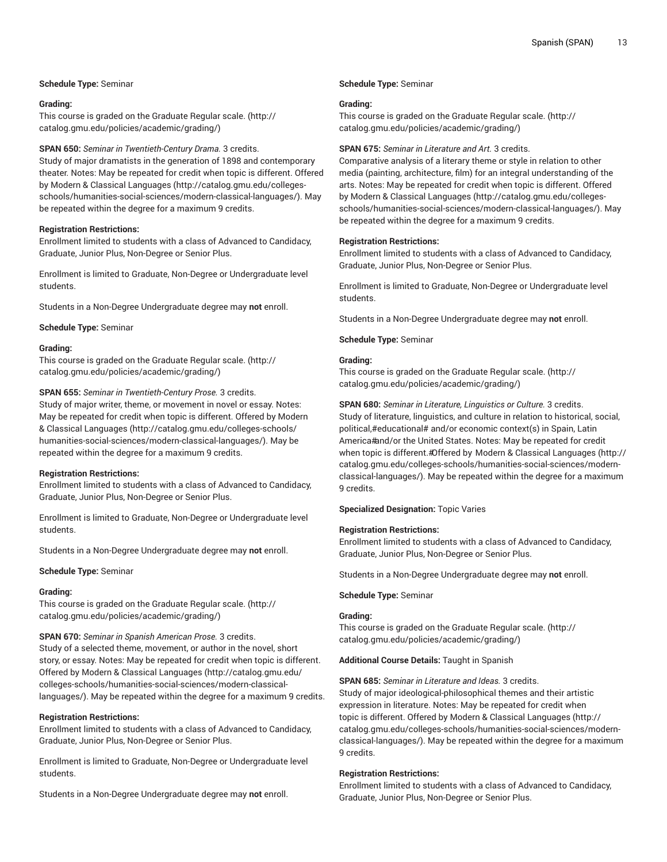# **Schedule Type:** Seminar

#### **Grading:**

This course is graded on the [Graduate Regular scale.](http://catalog.gmu.edu/policies/academic/grading/) [\(http://](http://catalog.gmu.edu/policies/academic/grading/) [catalog.gmu.edu/policies/academic/grading/\)](http://catalog.gmu.edu/policies/academic/grading/)

#### **SPAN 650:** *Seminar in Twentieth-Century Drama.* 3 credits.

Study of major dramatists in the generation of 1898 and contemporary theater. Notes: May be repeated for credit when topic is different. Offered by [Modern & Classical Languages](http://catalog.gmu.edu/colleges-schools/humanities-social-sciences/modern-classical-languages/) ([http://catalog.gmu.edu/colleges](http://catalog.gmu.edu/colleges-schools/humanities-social-sciences/modern-classical-languages/)[schools/humanities-social-sciences/modern-classical-languages/\)](http://catalog.gmu.edu/colleges-schools/humanities-social-sciences/modern-classical-languages/). May be repeated within the degree for a maximum 9 credits.

#### **Registration Restrictions:**

Enrollment limited to students with a class of Advanced to Candidacy, Graduate, Junior Plus, Non-Degree or Senior Plus.

Enrollment is limited to Graduate, Non-Degree or Undergraduate level students.

Students in a Non-Degree Undergraduate degree may **not** enroll.

#### **Schedule Type:** Seminar

#### **Grading:**

This course is graded on the [Graduate Regular scale.](http://catalog.gmu.edu/policies/academic/grading/) [\(http://](http://catalog.gmu.edu/policies/academic/grading/) [catalog.gmu.edu/policies/academic/grading/\)](http://catalog.gmu.edu/policies/academic/grading/)

#### **SPAN 655:** *Seminar in Twentieth-Century Prose.* 3 credits.

Study of major writer, theme, or movement in novel or essay. Notes: May be repeated for credit when topic is different. Offered by [Modern](http://catalog.gmu.edu/colleges-schools/humanities-social-sciences/modern-classical-languages/) [& Classical Languages](http://catalog.gmu.edu/colleges-schools/humanities-social-sciences/modern-classical-languages/) ([http://catalog.gmu.edu/colleges-schools/](http://catalog.gmu.edu/colleges-schools/humanities-social-sciences/modern-classical-languages/) [humanities-social-sciences/modern-classical-languages/](http://catalog.gmu.edu/colleges-schools/humanities-social-sciences/modern-classical-languages/)). May be repeated within the degree for a maximum 9 credits.

# **Registration Restrictions:**

Enrollment limited to students with a class of Advanced to Candidacy, Graduate, Junior Plus, Non-Degree or Senior Plus.

Enrollment is limited to Graduate, Non-Degree or Undergraduate level students.

Students in a Non-Degree Undergraduate degree may **not** enroll.

# **Schedule Type:** Seminar

# **Grading:**

This course is graded on the [Graduate Regular scale.](http://catalog.gmu.edu/policies/academic/grading/) [\(http://](http://catalog.gmu.edu/policies/academic/grading/) [catalog.gmu.edu/policies/academic/grading/\)](http://catalog.gmu.edu/policies/academic/grading/)

#### **SPAN 670:** *Seminar in Spanish American Prose.* 3 credits.

Study of a selected theme, movement, or author in the novel, short story, or essay. Notes: May be repeated for credit when topic is different. Offered by [Modern & Classical Languages \(http://catalog.gmu.edu/](http://catalog.gmu.edu/colleges-schools/humanities-social-sciences/modern-classical-languages/) [colleges-schools/humanities-social-sciences/modern-classical](http://catalog.gmu.edu/colleges-schools/humanities-social-sciences/modern-classical-languages/)[languages/\)](http://catalog.gmu.edu/colleges-schools/humanities-social-sciences/modern-classical-languages/). May be repeated within the degree for a maximum 9 credits.

# **Registration Restrictions:**

Enrollment limited to students with a class of Advanced to Candidacy, Graduate, Junior Plus, Non-Degree or Senior Plus.

Enrollment is limited to Graduate, Non-Degree or Undergraduate level students.

Students in a Non-Degree Undergraduate degree may **not** enroll.

#### **Schedule Type:** Seminar

#### **Grading:**

This course is graded on the [Graduate Regular scale.](http://catalog.gmu.edu/policies/academic/grading/) ([http://](http://catalog.gmu.edu/policies/academic/grading/) [catalog.gmu.edu/policies/academic/grading/](http://catalog.gmu.edu/policies/academic/grading/))

#### **SPAN 675:** *Seminar in Literature and Art.* 3 credits.

Comparative analysis of a literary theme or style in relation to other media (painting, architecture, film) for an integral understanding of the arts. Notes: May be repeated for credit when topic is different. Offered by [Modern & Classical Languages \(http://catalog.gmu.edu/colleges](http://catalog.gmu.edu/colleges-schools/humanities-social-sciences/modern-classical-languages/)[schools/humanities-social-sciences/modern-classical-languages/](http://catalog.gmu.edu/colleges-schools/humanities-social-sciences/modern-classical-languages/)). May be repeated within the degree for a maximum 9 credits.

#### **Registration Restrictions:**

Enrollment limited to students with a class of Advanced to Candidacy, Graduate, Junior Plus, Non-Degree or Senior Plus.

Enrollment is limited to Graduate, Non-Degree or Undergraduate level students.

Students in a Non-Degree Undergraduate degree may **not** enroll.

**Schedule Type:** Seminar

#### **Grading:**

This course is graded on the [Graduate Regular scale.](http://catalog.gmu.edu/policies/academic/grading/) ([http://](http://catalog.gmu.edu/policies/academic/grading/) [catalog.gmu.edu/policies/academic/grading/](http://catalog.gmu.edu/policies/academic/grading/))

**SPAN 680:** *Seminar in Literature, Linguistics or Culture.* 3 credits. Study of literature, linguistics, and culture in relation to historical, social, political,#educational# and/or economic context(s) in Spain, Latin America#and/or the United States. Notes: May be repeated for credit when topic is different.#Offered by [Modern & Classical Languages](http://catalog.gmu.edu/colleges-schools/humanities-social-sciences/modern-classical-languages/) ([http://](http://catalog.gmu.edu/colleges-schools/humanities-social-sciences/modern-classical-languages/) [catalog.gmu.edu/colleges-schools/humanities-social-sciences/modern](http://catalog.gmu.edu/colleges-schools/humanities-social-sciences/modern-classical-languages/)[classical-languages/\)](http://catalog.gmu.edu/colleges-schools/humanities-social-sciences/modern-classical-languages/). May be repeated within the degree for a maximum 9 credits.

#### **Specialized Designation:** Topic Varies

# **Registration Restrictions:**

Enrollment limited to students with a class of Advanced to Candidacy, Graduate, Junior Plus, Non-Degree or Senior Plus.

Students in a Non-Degree Undergraduate degree may **not** enroll.

#### **Schedule Type:** Seminar

# **Grading:**

This course is graded on the [Graduate Regular scale.](http://catalog.gmu.edu/policies/academic/grading/) ([http://](http://catalog.gmu.edu/policies/academic/grading/) [catalog.gmu.edu/policies/academic/grading/](http://catalog.gmu.edu/policies/academic/grading/))

#### **Additional Course Details:** Taught in Spanish

**SPAN 685:** *Seminar in Literature and Ideas.* 3 credits. Study of major ideological-philosophical themes and their artistic expression in literature. Notes: May be repeated for credit when topic is different. Offered by [Modern & Classical Languages](http://catalog.gmu.edu/colleges-schools/humanities-social-sciences/modern-classical-languages/) ([http://](http://catalog.gmu.edu/colleges-schools/humanities-social-sciences/modern-classical-languages/) [catalog.gmu.edu/colleges-schools/humanities-social-sciences/modern](http://catalog.gmu.edu/colleges-schools/humanities-social-sciences/modern-classical-languages/)[classical-languages/\)](http://catalog.gmu.edu/colleges-schools/humanities-social-sciences/modern-classical-languages/). May be repeated within the degree for a maximum 9 credits.

# **Registration Restrictions:**

Enrollment limited to students with a class of Advanced to Candidacy, Graduate, Junior Plus, Non-Degree or Senior Plus.